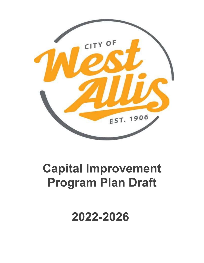

## **Capital Improvement Program Plan Draft**

2022-2026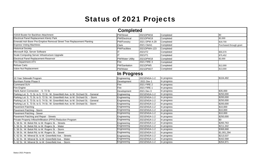## Status of 2021 Projects

|                                                                                     | <b>Completed</b>        |               |             |                         |
|-------------------------------------------------------------------------------------|-------------------------|---------------|-------------|-------------------------|
| #1819 Buster for Backhoe Attachment                                                 | PW/Street               | 2021DPW16     | Completed   | \$0                     |
| <b>Electrical Panel Replacement Klentz Park</b>                                     | PW/Electrical           | 2021DPW19     | Completed   | \$2,000                 |
| Emerald Ash Borer Pre-Emptive Removal Street Tree Replacement Planting              | <b>PW/Forestry</b>      | 2021 DPW A-29 | Completed   | \$18,700                |
| <b>Express Voting Machines</b>                                                      | Clerk                   | 2021 Clerk1   | Completed   | Purchased through grant |
| <b>Historical Society</b>                                                           | <b>PW/Facilities</b>    | 2021DPWA-123  | Completed   |                         |
| Microsoft SQL Server Software                                                       |                         | 2021IT2       | Completed   | \$55,570                |
| Scale Computing Server Infrastructure Upgrade                                       |                         | 2021IT1       | Completed   | \$75,452                |
| Electrical Panel Replacement-Reservoir                                              | <b>PW/Water Utility</b> | 2021DPW18     | Completed   | \$2,000                 |
| <b>Fire Department ATV</b>                                                          | <b>Fire</b>             | 2021 FIRE 3   | Completed   |                         |
| <b>Refuse Carts</b>                                                                 | PW/Sanitation           | 2021DPW5      | Completed   | \$12,000                |
| Valve Nut Replacement                                                               | PW/Water                | 2021DPW27     | Completed   | \$13,000                |
|                                                                                     | <b>In Progress</b>      |               |             |                         |
| 10 Year Sidewalk Program                                                            | Engineering             | 2021ENGA-1-2  | In progress | $\sqrt{$104,492}$       |
| Burnham Pointe Phase II                                                             | Development             | 2021 Dev 1    | In progress |                         |
| Command SUV                                                                         | Fire                    | 2021 FIRE 2   | In progress |                         |
| Fire Engine                                                                         | Fire                    | 2021 FIRE 1   | In progress |                         |
| Hank Aaron Connection - S. 72 St.                                                   | Development             | 2021 Dev 3    | In progress | \$35,000                |
| Parking Lot: S. 71 St. to S. 72 St.: W. Greenfield Ave. to W. Orchard St. - General | Engineering             | 2021ENGA-1-2  | In progress | \$250,000               |
| Parking Lot: S. 71 St. to S. 72 St.: W. Greenfield Ave. to W. Orchard St. - Storm   | Engineering             | 2021ENGA-1-2  | In progress | \$200,000               |
| Parking Lot: S. 73 St. to S. 74 St.: W. Greenfield Ave. to W. Orchard St. - General | Engineering             | 2021ENGA-1-2  | In progress | \$250,000               |
| Parking Lot: S. 73 St. to S. 74 St.: W. Greenfield Ave. to W. Orchard St. - Storm   | Engineering             | 2021ENGA-1-2  | In progress | \$200,000               |
| <b>Pavement Patching</b>                                                            | Engineering             | 2021ENGA-1-2  | In progress | \$10,000                |
| Pavement Patching - Storm                                                           | Engineering             | 2021ENGA-1-2  | In progress | \$10,000                |
| Pavement Patching - Sewer                                                           | Engineering             | 2021ENGA-1-2  | In progress | \$10,000                |
| Pavement Patching and Repair - Streets                                              | Engineering             | 2021ENGA-1-2  | In progress | \$250,000               |
| Private Property Inflow/Infiltration (PPI/I) Reduction Program                      | Engineering             | 2021ENGA-1-2  | In progress | \$0                     |
| S. 56 St.: W. Beloit Rd. to W. Rogers St. - Streets                                 | Engineering             | 2021ENGA-1-2  | In progress | \$260,763               |
| S. 56 St.: W. Beloit Rd. to W. Rogers St. - Water                                   | Engineering             | 2021ENGA-1-2  | In progress | \$211,342               |
| S. 56 St.: W. Beloit Rd. to W. Rogers St. - Storm                                   | Engineering             | 2021ENGA-1-2  | In progress | \$368,668               |
| S. 56 St.: W. Beloit Rd. to W. Rogers St. - Sewer                                   | Engineering             | 2021ENGA-1-2  | In progress | \$1,001,294             |
| . 62 St.: W. Mineral St. to W. Greenfield Ave. - Streets                            | Engineering             | 2021ENGA-1-2  | In progress | 3213,537                |
| 62 St.: W. Mineral St. to W. Greenfield Ave. - Water                                | Engineering             | 2021ENGA-1-2  | In progress | \$162,568               |
| S. 62 St.: W. Mineral St. to W. Greenfield Ave. - Storm                             | Engineering             | 2021ENGA-1-2  | In progress | \$264,971               |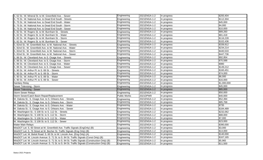| S. 62 St.: W. Mineral St. to W. Greenfield Ave. - Sewer                                                                                                                                        | Engineering         | 2021ENGA-1-2 | In progress | \$200,404   |
|------------------------------------------------------------------------------------------------------------------------------------------------------------------------------------------------|---------------------|--------------|-------------|-------------|
| S. 75 St.: W. National Ave. to Dead End South - Streets                                                                                                                                        | Engineering         | 2021ENGA-1-2 | In progress | \$112,304   |
| S. 75 St.: W. National Ave. to Dead End South - Water                                                                                                                                          | Engineering         | 2021ENGA-1-2 | In progress | \$45,000    |
| S. 75 St.: W. National Ave. to Dead End South - Storm                                                                                                                                          | Engineering         | 2021ENGA-1-2 | In progress | \$4,000     |
| S. 75 St.: W. National Ave. to Dead End South - Sewer                                                                                                                                          | Engineering         | 2021ENGA-1-2 | In progress | \$10,000    |
| S. 82 St.: W. Rogers St. to W. Burnham St. - Streets                                                                                                                                           | Engineering         | 2021ENGA-1-2 | In progress | \$89,260    |
| S. 82 St.: W. Rogers St. to W. Burnham St. - Water                                                                                                                                             | Engineering         | 2021ENGA-1-2 | In progress | \$81,418    |
| S. 82 St.: W. Rogers St. to W. Burnham St. - Storm                                                                                                                                             | Engineering         | 2021ENGA-1-2 | In progress | \$116,228   |
| S. 82 St.: W. Rogers St. to W. Burnham St. - Sewer                                                                                                                                             | Engineering         | 2021ENGA-1-2 | In progress | \$102,436   |
| S. 82nd St.: W. Greenfield Ave. to W. National Ave. - Streets                                                                                                                                  | Engineering         | 2021ENGA-1-2 | In progress | \$339,912   |
| S. 82nd St.: W. Greenfield Ave. to W. National Ave. - Water                                                                                                                                    | Engineering         | 2021ENGA-1-2 | In progress | \$234,214   |
| S. 82nd St.: W. Greenfield Ave. to W. National Ave. - Storm                                                                                                                                    | Engineering         | 2021ENGA-1-2 | In progress | \$440,533   |
| S. 82nd St.: W. Greenfield Ave. to W. National Ave. - Sewer                                                                                                                                    | Engineering         | 2021ENGA-1-2 | In progress | \$447,736   |
| S. 86 St.: W. Cleveland Ave. to S. Osage Ave. - Streets                                                                                                                                        | Engineering         | 2021ENGA-1-2 | In progress | \$92,954    |
| S. 86 St.: W. Cleveland Ave. to S. Osage Ave. - Storm                                                                                                                                          | Engineering         | 2021ENGA-1-2 | In progress | \$70,588    |
| S. 86 St.: W. Cleveland Ave. to S. Osage Ave. - Water                                                                                                                                          | Engineering         | 2021ENGA-1-2 | In progress | \$980       |
| S. 86 St.: W. Cleveland Ave. to S. Osage Ave. - Sewer                                                                                                                                          | Engineering         | 2021ENGA-1-2 | In progress | \$149,212   |
| S. 90 St.: W. Arthur Pl. to S. 89 St. - Streets                                                                                                                                                | Engineering         | 2021ENGA-1-2 | In progress | \$160,451   |
| S. 90 St.: W. Arthur Pl. to S. 89 St. - Storm                                                                                                                                                  | Engineering         | 2021ENGA-1-2 | In progress | \$74,000    |
| S. 90 St.: W. Arthur Pl. to S. 89 St. - Water                                                                                                                                                  | Engineering         | 2021ENGA-1-2 | In progress | \$6,000     |
| S. 90 St.: W. Arthur Pl. to S. 89 St. - Sewer                                                                                                                                                  | Engineering         | 2021ENGA-1-2 | In progress | \$16,000    |
| <b>Sanitary Relay</b>                                                                                                                                                                          | Engineering         | 2021ENGA-1-2 | In progress | \$1,000,000 |
| Sewer Televising - Storm                                                                                                                                                                       | Engineering         | 2021ENGA-1-2 | In progress | \$45,000    |
| Sewer Televising - Sewer                                                                                                                                                                       | Engineering         | 2021ENGA-1-2 | In progress | \$85,000    |
| <b>Storm Sewer Relays</b>                                                                                                                                                                      | Engineering         | 2021ENGA-1-2 | In progress | \$50,000    |
| Storm Sewer/Catch Basin Repair/Replacement                                                                                                                                                     | <b>Public Works</b> | 2021DPW9     | In progress | \$40,000    |
| W. Dakota St.: S. Osage Ave. to S. Orleans Ave. - Streets                                                                                                                                      | Engineering         | 2021ENGA-1-2 | In progress | \$52,394    |
| W. Dakota St.: S. Osage Ave. to S. Orleans Ave. - Storm                                                                                                                                        | Engineering         | 2021ENGA-1-2 | In progress | \$85,768    |
| W. Dakota St.: S. Osage Ave. to S. Orleans Ave. - Water                                                                                                                                        | Engineering         | 2021ENGA-1-2 | In progress | \$735       |
| W. Dakota St.: S. Osage Ave. to S. Orleans Ave. - Sewer                                                                                                                                        | Engineering         | 2021ENGA-1-2 | In progress | \$184,489   |
| W. Washington St.: S 108 St. to S. 112 St. - Streets                                                                                                                                           | Engineering         | 2021ENGA-1-2 | In progress | \$232,062   |
| W. Washington St.: S 108 St. to S. 112 St. - Storm                                                                                                                                             | Engineering         | 2021ENGA-1-2 | In progress | \$88,000    |
| W. Washington St.: S 108 St. to S. 112 St. - Water                                                                                                                                             | Engineering         | 2021ENGA-1-2 | In progress | \$7,000     |
| W. Washington St.: S 108 St. to S. 112 St. - Sewer                                                                                                                                             | Engineering         | 2021ENGA-1-2 | In progress | \$23,000    |
| <b>Water Main Relays</b>                                                                                                                                                                       | Engineering         | 2021ENGA-1-2 | In progress | \$390,000   |
| WisDOT Let: S. 60 Street at W. Greenfield Ave. Traffic Signals (EngOnly) (B)                                                                                                                   | Engineering         | 2021ENGA-1-2 | In progress | \$3,000     |
| WisDOT Let: S. 76 Street at W. Becher St. Traffic Signals (Eng Only) (B)                                                                                                                       | Engineering         | 2021ENGA-1-2 | In progress | \$14,000    |
| WisDOT Let: W. Beloit Road: S. 60 St. to W. Lincoln Ave. (Eng Only) (A)                                                                                                                        | Engineering         | 2021ENGA-1-2 | In progress | \$140,000   |
| WisDOT Let: W. Lincoln Avenue: S. 71 St. to S. 84 St. Traffic Signals (Const Only) (B)                                                                                                         | Engineering         | 2021ENGA-1-2 | In progress | \$167,165   |
| WisDOT Let: W. Lincoln Avenue: S. 71 St. to S. 84 St. Traffic Signals (Construction Only) (B)<br>WisDOT Let: W. Lincoln Avenue: S. 71 St. to S. 84 St. Traffic Signals (Construction Only) (B) | Engineering         | 2021ENGA-1-2 | In progress | \$5,965     |
|                                                                                                                                                                                                |                     | 2021ENGA-1-2 |             | \$11,500    |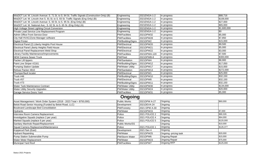| WisDOT Let: W. Lincoln Avenue: S. 71 St. to S. 84 St. Traffic Signals (Construction Only) (B) | Engineering             | 2021ENGA-1-2         | In progress           | \$88,716    |
|-----------------------------------------------------------------------------------------------|-------------------------|----------------------|-----------------------|-------------|
| WisDOT Let: W. Lincoln Ave S. 91 St. to S. 93 St. Traffic Signals (Eng Only) (B)              | Engineering             | 2021ENGA-1-2         | In progress           | \$108,000   |
| WisDOT Let: W. Lincoln Avenue: S. 93 St. to S. 95 St. (Eng Only) (B)                          | Engineering             | 2021ENGA-1-2         | In progress           | \$27,000    |
| WisDOT Let: W. National Ave.: S. 62 St. to S. 65 St. (Eng Only) (A)                           | Engineering             | 2021ENGA-1-2         | In progress           | \$65,000    |
| High Voltage Street Lighting Circuit Conversion                                               | Engineering             | 2021ENGA-1-2         | In progress           | \$1,600,000 |
| Private Lead Service Line Replacement Program                                                 | Engineering             | 2021ENGA-1-2         | In progress           | \$0         |
| Admin Office Front Service Door                                                               | <b>PW/Facilities</b>    | 2021DPW32            | In progress           | \$5,000     |
| City Hall HVAC/Zone Manager software                                                          | <b>PW/Facilities</b>    | 2021DPW28            | In progress           | \$7,850     |
| <b>Digital Printer</b>                                                                        | PW/Building/Signs       | 2021DPW2             | In progress           | \$15,000    |
| Electrical Panel (2) Liberty Heights Pool House                                               | <b>PW/Electrical</b>    | 2021DPW20            | In progress           | \$9,500     |
| Electrical Panel Liberty Heights Field House                                                  | <b>PW/Electrical</b>    | 2021DPW21            | In progress           | \$5,000     |
| <b>Electrical Panel Replacement Weld Shop</b>                                                 | PW/Electrical           | 2021DPW22            | In progress           | \$3,000     |
| Library Facility Maintenance/Improvements                                                     | <b>PW/Facilities</b>    | 2021DPWA-120         | In progress           | \$7,500     |
| <b>NEW Camera Sewer Truck</b>                                                                 | PW/Fleet                | 2021DPWB-8           | In progress           | \$300,000   |
| Packer Lift tippers                                                                           | PW/Sanitation           | 2021DPW4             | In progress           | \$8,900     |
| Paint Line Striper #2161                                                                      | PW/Building/Signs       | 2021DPW12            | In progress           | \$17,050    |
| <b>Pumping Station Update</b>                                                                 | <b>PW/Water Utility</b> | 2021DPW17            | In progress           | \$15,000    |
| Refuse Packer #810                                                                            | PW/Sanitation           | 2021DPW13            | In progress           | \$272,000   |
| Thumper/fault locater                                                                         | <b>PW/Electrical</b>    | 2021DPW1             | In progress           | \$25,000    |
| Truck #46                                                                                     | PW/Building/Signs       | 2021DPW10            | In progress           | \$32,150    |
| Truck #57                                                                                     | <b>PW/Electrical</b>    | 2021DPW8             | In progress           | \$32,150    |
| Truck #73                                                                                     | PW/Building/Signs       | 2021DPW11            | In progress           | \$32,150    |
| Water Tank Maintenance Contract                                                               | <b>PW/Water Utility</b> | 2021DPW30            | In progress           | \$134,000   |
| <b>Water Utility Security Upgrades</b>                                                        | <b>PW/Water Utility</b> | 2021DPW24            | In progress           | \$20,000    |
| Garage Service Doors Yard                                                                     | <b>PW/Facilities</b>    | 2021DPW31            | In progress           | \$5,000     |
|                                                                                               | <b>Ongoing</b>          |                      |                       |             |
| Asset Management / Work Order System (2018 - 2023 Total = \$750,000)                          | <b>Public Works</b>     | 2021DPW A-27         | Ongoing               | \$60,000    |
| Beloit Road Senior Housing (Funded by Beloit Road, LLC)                                       | Development             | 2021DEVA-24          | Ongoing               |             |
| Boulevard Landscape Bed Consolidation                                                         | PW/Forestry             | 2021 DPW A-30        | Ongoing               |             |
| <b>Hydrants</b>                                                                               | PW/Water                | 2021DPW15            | Ongoing               | \$7,000     |
| Interview Room Camera Replacement                                                             | Police                  | 2021 POLICE 2        | Ongoing               | \$90,326    |
| Investigative Squads (replace 2 per year)                                                     | Police                  | 2021 POLICE 4        | Ongoing               | \$64,000    |
| Marked Squads (replace 6 per year)                                                            | Police                  | 2021 POLICE 5        | Ongoing               | \$120,000   |
| Sanitary Manhole Repair/Replacement                                                           | Public Works/SS         |                      | Ongoing               | \$10,000    |
| Squad Camera Replacement/Maintenance                                                          | Police                  | <b>2021 POLICE 1</b> | Ongoing               | \$126,377   |
| Kopperud Park (East)                                                                          | Development             | 2021 Dev 4           | Ongoing               |             |
| <b>Hydrant Repainting</b>                                                                     | PW/Water                | 2021DPW25            | Ongoing -pricing task | \$20,000    |
| Pump Station Submersible Pump                                                                 | PW/Storm Water          | 2021DPW6             | <b>Ongoing Repair</b> | \$15,000    |
| Water Meter Replacement                                                                       | PW/Water                | 2021DPW23            | <b>Ongoing Repair</b> | \$75,000    |
| <b>Municipal Yard Roof</b>                                                                    | <b>PW/Facilities</b>    | 2021DPW7             | Ongoing RFP           | \$125,000   |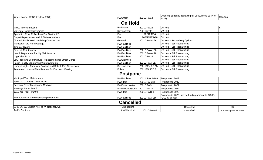| Wheel Loader #2947 (replace 2942)                           | PW/Street            | 2021DPW14       | Ongoing, currently replacing for 2942, move 2947 to<br>2022)          | \$180,000               |
|-------------------------------------------------------------|----------------------|-----------------|-----------------------------------------------------------------------|-------------------------|
|                                                             | <b>On Hold</b>       |                 |                                                                       |                         |
| <b>MWW Interconnection</b>                                  | PW/Water             | 2021DPW26       | On Hold                                                               | \$0                     |
| <b>McKinely Park Improvements</b>                           | Development          | 2021 Dev 2      | On Hold                                                               |                         |
| Apparatus Floor Refinishing-Fire Station #2                 | Fire                 | 2021FIRE4       | On Hold                                                               |                         |
| Carpet Replacement - All 3 Stations and Adm                 | Fire                 | 2021FIREA-18    | On Hold                                                               |                         |
| City Hall/Public Works Building Construction                | General              | 2021DPWA-126    | On Hold - Reseaching Options                                          |                         |
| Municipal Yard North Garage                                 | <b>PW/Facilities</b> |                 | On Hold - Still Researching                                           |                         |
| <b>Transfer Station</b>                                     | <b>PW/Facilities</b> |                 | On Hold - Still Researching                                           |                         |
| <b>City Hall Maintenance</b>                                | <b>PW/Facilities</b> | 2021DPWA-108    | On Hold - Still Researching                                           |                         |
| Health Department Facility Maintenance                      | <b>PW/Facilities</b> | 2021DPWA-118    | On Hold - Still Researching                                           |                         |
| Log Cabin Roof                                              | <b>PW/Facilities</b> | 2021DPW33       | On Hold - Still Researching                                           |                         |
| Low Pressure Sodium Bulb Replacements for Street Lights     | PW/Electrical        |                 | On Hold - Still Researching                                           |                         |
| Police Facility Maintenance/Improvements                    | <b>PW/Facilities</b> | 2021DPWA-113    | On Hold - Still Researching                                           |                         |
| Liberty Heights Park New Pavilion and Splash Pad Conversion | Development          | 2021 DEV A-121a | On Hold - Still Researching                                           |                         |
| Automated License Plate Readers for Electronic Parking      | Police               | 2021 POLICE 3   | On Hold - Still Researching                                           |                         |
|                                                             | <b>Postpone</b>      |                 |                                                                       |                         |
| Municipal Yard Maintenance                                  | <b>PW/Facilities</b> | 2021 DPW A-109  | Postpone to 2022                                                      |                         |
| 1999 (2) 11' Heavy Truck Plows                              | <b>PW/Fleet</b>      | 2021DPW C-3     | Postpone to 2022                                                      |                         |
| Pervious Paver Maintenace Machine                           | PW/Storm Water       | 2021DPW3        | Postpone to 2022                                                      |                         |
| Message Arrow Board                                         | PW/Building/Signs    | 2021DPW29       | Postpone to 2022                                                      |                         |
| 2010 Jet Truck - #1498                                      | PW/Fleet             | 2021DPWB-8      | Postpone to 2025                                                      |                         |
| Fire Station #2 Maintenance/Improvements                    | <b>PW/Facitilies</b> | 2021DPWA-116    | Postpone to 2026 - revise funding amount to \$7500,<br>move \$170,000 |                         |
|                                                             | <b>Cancelled</b>     |                 |                                                                       |                         |
| S. 99 St.: W. Lincoln Ave. to W. National Ave.              | Engineering          |                 | Cancelled                                                             | \$0                     |
| <b>Traffic Controls</b>                                     | <b>PW/Electrical</b> | 2021DPWA-3      | Cancelled                                                             | Cabinets provided State |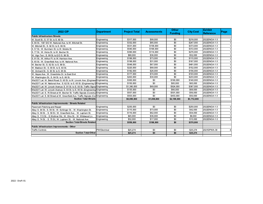| <b>2022 CIP</b>                                                                 | <b>Department</b> | <b>Project Total</b> | <b>Assessments</b> | <b>Other</b><br><b>Funding</b> | <b>City Cost</b> | <b>Exhibit</b><br><b>Reference</b> | Page |
|---------------------------------------------------------------------------------|-------------------|----------------------|--------------------|--------------------------------|------------------|------------------------------------|------|
| lPublic Infrastructure Streets                                                  |                   |                      |                    |                                |                  |                                    |      |
| W. Scott St.: S. 57 St. to S. 60 St.                                            | Engineering       | \$317,000            | \$99,000           | \$0                            | \$218,000        | 2022ENGA-1-3                       |      |
| S. 66 St.: 100' S/O W. National Ave. to W. Mitchell St.                         | Engineering       | \$332.000            | \$85,000           | \$0                            | \$247.000        | 2022ENGA-1-3                       |      |
| W. Mitchell St.: S. 92 St. to S. 96 St.                                         | Engineering       | \$531,000            | \$158,000          | \$0                            | \$373,000        | 2022ENGA-1-3                       |      |
| S. 57 St.: W. Burnham St. to W. Mobile St.                                      | Engineering       | \$540,000            | \$168,000          | \$0                            | \$372,000        | 2022ENGA-1-3                       |      |
| S. 77 St.: W. Hicks St. to W. Becher St.                                        | Engineering       | \$390,000            | \$114,000          | \$0                            | \$276,000        | 2022ENGA-1-3                       |      |
| W. Vigo Terr.: S. 99 St. to E/O S. 99 St.                                       | Engineering       | \$88,000             | \$36,000           | \$0                            | \$52,000         | 2022ENGA-1-3                       |      |
| S. 91 St.: W. Arthur Pl. to W. Harrison Ave.                                    | Engineering       | \$188,000            | \$73,000           | \$0                            | \$115,000        | 2022ENGA-1-3                       |      |
| S. 65 St.: W. Greenfield Ave. to W. National Ave.                               | Engineering       | \$198,000            | \$31,000           | \$0                            | \$167,000        | 2022ENGA-1-3                       |      |
| W. Becher St.: S. 92 St. to S. 99 St.                                           | Engineering       | \$548,000            | \$67,000           | \$0                            | \$481,000        | 2022ENGA-1-3                       |      |
| W. Madison St.: S. 58 St. to S. 60 St.                                          | Engineering       | \$220,000            | \$68,000           | \$0                            | \$152,000        | 2022ENGA-1-3                       |      |
| W. Orchard St.: S. 93 St. to S. 95 St.                                          | Engineering       | \$182,000            | \$26,000           | \$0                            | \$156,000        | 2022ENGA-1-3                       |      |
| W. Hayes Ave.: W. Greenlinks Dr. to East End                                    | Engineering       | \$177,000            | \$74,000           | \$0                            | \$103,000        | 2022ENGA-1-3                       |      |
| W. Washington St.: S. 84 St. to S. 86 St.                                       | Engineering       | \$263.000            | \$30,000           | \$0                            | \$233,000        | 2022ENGA-1-3                       |      |
| WisDOT Let: W. Beloit Road: S. 60 St. to W. Lincoln Ave. (Engineer Engineering  |                   | \$300,000            | \$0                | \$160,000                      | \$140,000        | 2022ENGA-1-3                       |      |
| WisDOT Let: W. National Ave.: S. 62 St. to S. 65 St. (Engineering O Engineering |                   | \$150.000            | \$0                | \$85,000                       | \$65,000         | 2022ENGA-1-3                       |      |
| WisDOT Let: W. Lincoln Avenue: S. 91 St. to S. 93 St. Traffic Signa Engineering |                   | \$1,380,000          | \$69,000           | \$924,000                      | \$387,000        | 2022ENGA-1-3                       |      |
| WisDOT Let: W. Lincoln Avenue: S. 93 St. to S. 95 St. (Engineering Engineering  |                   | \$135,000            | \$0                | \$66,000                       | \$69,000         | 2022ENGA-1-3                       |      |
| WisDOT Let: S. 76 Street at W. Becher St. Traffic Signals (Construd Engineering |                   | \$557.000            | \$0                | \$501,000                      | \$56,000         | 2022ENGA-1-3                       |      |
| WisDOT Let: S. 60 Street at W. Greenfield Ave. Traffic Signals (Con Engineering |                   | \$503,000            | \$0                | \$453,000                      | \$50,000         | 2022ENGA-1-3                       |      |
| <b>Section Total-Streets</b>                                                    |                   | \$6,999,000          | \$1,098,000        | \$2,189,000                    | \$3,712,000      |                                    |      |
| Public Infrastructure Improvements - Streets Related                            |                   |                      |                    |                                |                  |                                    |      |
| Pavement Patching and Repair                                                    | Engineering       | \$250,000            | \$0                | \$0                            | \$250,000        | 2022ENGA-1-3                       |      |
| Alley: S. 94 St.- S. 95 St.: W. Schlinger St. - W. Washington St.               | Engineering       | \$115,000            | \$73,000           | \$0                            | \$42,000         | 2022ENGA-1-3                       |      |
| Alley: S. 58 St. - S. 59 St.: W. Greenfield Ave. - W. Lapham St.                | Engineering       | \$116,000            | \$62,000           | \$0                            | \$54,000         | 2022ENGA-1-3                       |      |
| Alley: S. 113 St. - S.Wollmer Rd.; W. Ohio St. - W. Wildwood Ln.                | Engineering       | \$45,000             | \$36,000           | \$0                            | \$9,000          | 2022ENGA-1-3                       |      |
| Alley: S. 74 St. - S. 75 St.; W. Lapham St. - W. National Ave.                  | Engineering       | \$32,000             | \$17,000           | \$0                            | \$15,000         | 2022ENGA-1-3                       |      |
| <b>Section Total-Streets Related</b>                                            |                   | \$558,000            | \$188,000          | \$0                            | \$370,000        |                                    |      |
| Public Infrastructure Improvements - Other                                      |                   |                      |                    |                                |                  |                                    |      |
| <b>Traffic Controls</b>                                                         | PW/Electrical     | \$25,274             | \$0                | \$0                            | \$25,274         | 2021DPWA-30                        |      |
| <b>Section Total-Other</b>                                                      |                   | \$25,274             | \$0                | \$0                            | \$25,274         |                                    |      |
|                                                                                 |                   |                      |                    |                                |                  |                                    |      |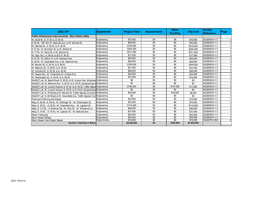| <b>2022 CIP</b>                                                                          | <b>Department</b> | <b>Project Total</b> | <b>Assessments</b> | <b>Other</b><br><b>Funding</b> | <b>City Cost</b> | <b>Exhibit</b><br>Reference | Page |
|------------------------------------------------------------------------------------------|-------------------|----------------------|--------------------|--------------------------------|------------------|-----------------------------|------|
| Public Infrastructure Improvements - Storm Water Utility                                 |                   |                      |                    |                                |                  |                             |      |
| W. Scott St.: S. 57 St. to S. 60 St.                                                     | Engineering       | \$70,000             | \$0                | \$0                            | \$70,000         | 2022ENGA-1-3                |      |
| S. 66 St.: 100' S/O W. National Ave. to W. Mitchell St.                                  | Engineering       | \$99,000             | \$0                | \$0                            | \$99,000         | 2022ENGA-1-3                |      |
| W. Mitchell St.: S. 92 St. to S. 96 St.                                                  | Engineering       | \$318,000            | \$0                | \$0                            | \$318,000        | 2022ENGA-1-3                |      |
| S. 57 St.: W. Burnham St. to W. Mobile St.                                               | Engineering       | \$224,000            | \$0                | \$0                            | \$224.000        | 2022ENGA-1-3                |      |
| S. 77 St.: W. Hicks St. to W. Becher St.                                                 | Engineering       | \$211,000            | \$0                | \$0                            | \$211.000        | 2022ENGA-1-3                |      |
| W. Vigo Terr.: S. 99 St. to E/O S. 99 St.                                                | Engineering       | \$17,000             | \$0                | \$0                            | \$17,000         | 2022ENGA-1-3                |      |
| S. 91 St.: W. Arthur Pl. to W. Harrison Ave.                                             | Engineering       | \$40,000             | \$0                | \$0                            | \$40,000         | 2022ENGA-1-3                |      |
| S. 65 St.: W. Greenfield Ave. to W. National Ave.                                        | Engineering       | \$49,000             | \$0                | \$0                            | \$49,000         | 2022ENGA-1-3                |      |
| W. Becher St.: S. 92 St. to S. 99 St.                                                    | Engineering       | \$169,000            | \$0                | \$0                            | \$169,000        | 2022ENGA-1-3                |      |
| W. Madison St.: S. 58 St. to S. 60 St.                                                   | Engineering       | \$51,000             | \$0                | \$0                            | \$51,000         | 2022ENGA-1-3                |      |
| W. Orchard St.: S. 93 St. to S. 95 St.                                                   | Engineering       | \$88,000             | \$0                | \$0                            | \$88,000         | 2022ENGA-1-3                |      |
| W. Hayes Ave.: W. Greenlinks Dr. to East End                                             | Engineering       | \$34,000             | \$0                | \$0                            | \$34,000         | 2022ENGA-1-3                |      |
| W. Washington St.: S. 84 St. to S. 86 St.                                                | Engineering       | \$72,000             | \$0                | \$0                            | \$72.000         | 2022ENGA-1-2                |      |
| WisDOT Let: W. Beloit Road: S. 60 St. to W. Lincoln Ave. (Engineer Engineering           |                   | \$0                  | \$0                | \$0                            | \$0              | 2022ENGA-1-3                |      |
| WisDOT Let: W. National Ave.: S. 62 St. to S. 65 St. (Engineering OEngineering           |                   | \$0                  | \$0                | \$0                            | \$0              | 2022ENGA-1-3                |      |
| WisDOT Let: W. Lincoln Avenue: S. 91 St. to S. 93 St. Traffic Signa Engineering          |                   | \$164,000            | \$0                | \$147,000                      | \$17,000         | 2022ENGA-1-3                |      |
| WisDOT Let: W. Lincoln Avenue: S. 93 St. to S. 95 St. (Engineering Engineering           |                   | \$0                  | \$0                | \$0                            | \$0              | 2022ENGA-1-3                |      |
| WisDOT Let: S. 76 Street at W. Becher St. Traffic Signals (ConstrudEngineering           |                   | \$20,000             | \$0                | \$18,000                       | \$2,000          | 2022ENGA-1-3                |      |
| WisDOT Let: S. 60 Street at W. Greenfield Ave. Traffic Signals (Cor <b>l</b> Engineering |                   | \$0                  | \$0                | \$0                            | \$0              | 2022ENGA-1-3                |      |
| Pavement Patching and Repair                                                             | Engineering       | \$10,000             | \$0                | \$0                            | \$10,000         | 2022ENGA-1-3                |      |
| Alley: S. 94 St.- S. 95 St.: W. Schlinger St. - W. Washington St.                        | Engineering       | \$70,000             | \$0                | \$0                            | \$70.000         | 2022ENGA-1-3                |      |
| Alley: S. 58 St. - S. 59 St.: W. Greenfield Ave. - W. Lapham St.                         | Engineering       | \$114,000            | \$0                | \$0                            | \$114.000        | 2022ENGA-1-3                |      |
| Alley: S. 113 St. - S. Wollmer Rd.; W. Ohio St. - W. Wildwood Ln.                        | Engineering       | \$48,000             | \$0                | \$0                            | \$48,000         | 2022ENGA-1-3                |      |
| Alley: S. 74 St. - S. 75 St.; W. Lapham St. - W. National Ave.                           | Engineering       | \$31,000             | \$0                | \$0                            | \$31,000         | 2022ENGA-1-3                |      |
| Sewer Televising                                                                         | Engineering       | \$45,000             | \$0                | \$0                            | \$45.000         | 2022ENGA-1-3                |      |
| Storm Sewer Relays                                                                       | Engineering       | \$50,000             | \$0                | \$0                            | \$50,000         | 2022ENGA-1-3                |      |
| Storm Sewer Catch Basin Repair                                                           | Public Works      | \$15,000             | \$0                | $\overline{50}$                | \$15,000         | 2022DPW SW2                 |      |
| <b>Section Total-Storm Water</b>                                                         |                   | \$2,009,000          | \$0                | \$165,000                      | \$1,844,000      |                             |      |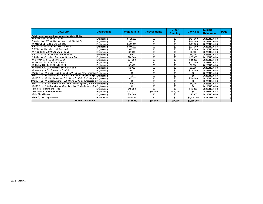| <b>2022 CIP</b>                                                                 | Department   | <b>Project Total</b> | <b>Assessments</b> | <b>Other</b><br><b>Funding</b> | <b>City Cost</b> | <b>Exhibit</b><br><b>Reference</b> | Page |
|---------------------------------------------------------------------------------|--------------|----------------------|--------------------|--------------------------------|------------------|------------------------------------|------|
| Public Infrastructure Improvements - Water Utility                              |              |                      |                    |                                |                  |                                    |      |
| W. Scott St.: S. 57 St. to S. 60 St.                                            | Engineering  | \$124,000            | \$0                | \$0                            | \$124.000        | 2022ENGA-1-3                       |      |
| S. 66 St.: 100' S/O W. National Ave. to W. Mitchell St.                         | Engineering  | \$355,000            | \$0                | \$0                            | \$355,000        | 2022ENGA-1-3                       |      |
| W. Mitchell St.: S. 92 St. to S. 96 St.                                         | Engineering  | \$407.000            | \$0                | \$0                            | \$407,000        | 2022ENGA-1-3                       |      |
| S. 57 St.: W. Burnham St. to W. Mobile St.                                      | Engineering  | \$377,000            | \$0                | \$0                            | \$377,000        | 2022ENGA-1-3                       |      |
| S. 77 St.: W. Hicks St. to W. Becher St.                                        | Engineering  | \$318,000            | \$0                | \$0                            | \$318,000        | 2022ENGA-1-3                       |      |
| W. Vigo Terr.: S. 99 St. to E/O S. 99 St.                                       | Engineering  | \$2,000              | \$0                | \$0                            | \$2,000          | 2022ENGA-1-3                       |      |
| S. 91 St.: W. Arthur Pl. to W. Harrison Ave.                                    | Engineering  | \$4,000              | \$0                | \$0                            | \$4.000          | 2022ENGA-1-3                       |      |
| S. 65 St.: W. Greenfield Ave. to W. National Ave.                               | Engineering  | \$78,000             | \$0                | \$0                            | \$78,000         | 2022ENGA-1-3                       |      |
| W. Becher St.: S. 92 St. to S. 99 St.                                           | Engineering  | \$24,000             | \$0                | \$0                            | \$24,000         | 2022ENGA-1-3                       |      |
| W. Madison St.: S. 58 St. to S. 60 St.                                          | Engineering  | \$127,000            | \$0                | \$0                            | \$127,000        | 2022ENGA-1-3                       |      |
| W. Orchard St.: S. 93 St. to S. 95 St.                                          | Engineering  | \$8,000              | \$0                | \$0                            | \$8,000          | 2022ENGA-1-3                       |      |
| W. Haves Ave.: W. Greenlinks Dr. to East End                                    | Engineering  | \$3,000              | \$0                | \$0                            | \$3,000          | 2022ENGA-1-3                       |      |
| W. Washington St.: S. 84 St. to S. 86 St.                                       | Engineering  | \$124,000            | \$0                | \$0                            | \$124,000        | 2022ENGA-1-3                       |      |
| WisDOT Let: W. Beloit Road: S. 60 St. to W. Lincoln Ave. (Engineer Engineering  |              | \$0                  | \$0                | \$0                            | \$0              | 2022ENGA-1-3                       |      |
| WisDOT Let: W. National Ave.: S. 62 St. to S. 65 St. (Engineering O Engineering |              | \$0                  | $\overline{30}$    | \$0                            | \$0              | 2022ENGA-1-3                       |      |
| WisDOT Let: W. Lincoln Avenue: S. 91 St. to S. 93 St. Traffic Signa Engineering |              | \$370.000            | \$0                | $\overline{50}$                | \$370.000        | 2022ENGA-1-3                       |      |
| WisDOT Let: W. Lincoln Avenue: S. 93 St. to S. 95 St. (Engineering Engineering  |              | \$0                  | \$0                | \$0                            | \$0              | 2022ENGA-1-3                       |      |
| WisDOT Let: S. 76 Street at W. Becher St. Traffic Signals (Construd Engineering |              | \$8,000              | \$0                | \$0                            | \$8,000          | 2022ENGA-1-3                       |      |
| WisDOT Let: S. 60 Street at W. Greenfield Ave. Traffic Signals (CorlEngineering |              | \$0                  | \$0                | \$0                            | \$0              | 2022ENGA-1-3                       |      |
| Pavement Patching and Repair                                                    | Engineering  | \$10,000             | \$0                | \$0                            | \$10,000         | 2022ENGA-1-3                       |      |
| Lead Service Line Replacement                                                   | Engineering  | \$300,000            | \$96,000           | \$204,000                      | \$0              | 2022ENGA-1-3                       |      |
| Water Main Relays                                                               | Engineering  | \$50,000             | \$0                | \$0                            | \$50,000         | 2022ENGA-1-3                       |      |
| Water System Improvement                                                        | Public Works | \$1,500,000          | \$0                | \$0                            | \$1,500,000      | 2022DPW W8                         |      |
| <b>Section Total-Water</b>                                                      |              | \$4,189,000          | \$96,000           | \$204,000                      | \$3,889,000      |                                    |      |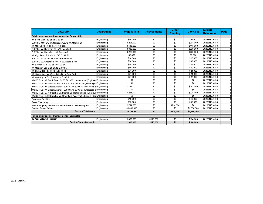| <b>2022 CIP</b>                                                                 | <b>Department</b> | <b>Project Total</b> | <b>Assessments</b> | <b>Other</b><br><b>Fundina</b> | <b>City Cost</b> | <b>Exhibit</b><br><b>Reference</b> | Page |
|---------------------------------------------------------------------------------|-------------------|----------------------|--------------------|--------------------------------|------------------|------------------------------------|------|
| Public Infrastructure Improvements - Sewer Utility                              |                   |                      |                    |                                |                  |                                    |      |
| W. Scott St.: S. 57 St. to S. 60 St.                                            | Engineering       | \$55,000             | \$0                | \$0                            | \$55,000         | 2022ENGA-1-3                       |      |
| S. 66 St.: 100' S/O W. National Ave. to W. Mitchell St.                         | Engineering       | \$204,000            | \$0                | \$0                            | \$204,000        | 2022ENGA-1-3                       |      |
| W. Mitchell St.: S. 92 St. to S. 96 St.                                         | Engineering       | \$413,000            | \$0                | \$0                            | \$413,000        | 2022ENGA-1-3                       |      |
| S. 57 St.: W. Burnham St. to W. Mobile St.                                      | Engineering       | \$339,000            | \$0                | \$0                            | \$339,000        | 2022ENGA-1-3                       |      |
| S. 77 St.: W. Hicks St. to W. Becher St.                                        | Engineering       | \$226,000            | \$0                | \$0                            | \$226,000        | 2022ENGA-1-3                       |      |
| W. Vigo Terr.: S. 99 St. to E/O S. 99 St.                                       | Engineering       | \$5,000              | \$0                | \$0                            | \$5,000          | 2022ENGA-1-3                       |      |
| S. 91 St.: W. Arthur Pl. to W. Harrison Ave.                                    | Engineering       | \$10,000             | \$0                | \$0                            | \$10,000         | 2022ENGA-1-3                       |      |
| S. 65 St.: W. Greenfield Ave. to W. National Ave.                               | Engineering       | \$68,000             | \$0                | \$0                            | \$68,000         | 2022ENGA-1-3                       |      |
| W. Becher St.: S. 92 St. to S. 99 St.                                           | Engineering       | \$45,000             | \$0                | \$0                            | \$45,000         | 2022ENGA-1-3                       |      |
| W. Madison St.: S. 58 St. to S. 60 St.                                          | Engineering       | \$50,000             | \$0                | \$0                            | \$50,000         | 2022ENGA-1-3                       |      |
| W. Orchard St.: S. 93 St. to S. 95 St.                                          | Engineering       | \$21,000             | \$0                | \$0                            | \$21,000         | 2022ENGA-1-3                       |      |
| W. Hayes Ave.: W. Greenlinks Dr. to East End                                    | Engineering       | \$21,000             | \$0                | \$0                            | \$21,000         | 2022ENGA-1-3                       |      |
| W. Washington St.: S. 84 St. to S. 86 St.                                       | Engineering       | \$27,000             | \$0                | \$0                            | \$27,000         | 2022ENGA-1-3                       |      |
| WisDOT Let: W. Beloit Road: S. 60 St. to W. Lincoln Ave. (Engineer Engineering  |                   | \$0                  | \$0                | \$0                            | \$0              | 2022ENGA-1-3                       |      |
| WisDOT Let: W. National Ave.: S. 62 St. to S. 65 St. (Engineering OEngineering  |                   | \$0                  | \$0                | \$0                            | \$0              | 2022ENGA-1-3                       |      |
| WisDOT Let: W. Lincoln Avenue: S. 91 St. to S. 93 St. Traffic Signa Engineering |                   | \$187,000            | \$0                | \$0                            | \$187,000        | 2022ENGA-1-3                       |      |
| WisDOT Let: W. Lincoln Avenue: S. 93 St. to S. 95 St. (Engineering Engineering  |                   | \$0                  | \$0                | \$0                            | \$0              | 2022ENGA-1-3                       |      |
| WisDOT Let: S. 76 Street at W. Becher St. Traffic Signals (Construd Engineering |                   | \$228,000            | \$0                | \$0                            | \$228,000        | 2022ENGA-1-3                       |      |
| WisDOT Let: S. 60 Street at W. Greenfield Ave. Traffic Signals (CorlEngineering |                   | \$0                  | \$0                | \$0                            | \$0              | 2022ENGA-1-3                       |      |
| Pavement Patching                                                               | Engineering       | \$10,000             | \$0                | \$0                            | \$10,000         | 2022ENGA-1-3                       |      |
| Sewer Televising                                                                | Engineering       | \$85,000             | \$0                | \$0                            | \$85,000         | 2022ENGA-1-3                       |      |
| Private Property Inflow/Infiltration (PPI/I) Reduction Program                  | Engineering       | \$714,000            | \$0                | \$714,000                      | \$0              | 2022ENGA-1-3                       |      |
| Sanitary Sewer Relays                                                           | Engineering       | \$1,000,000          | \$0                | \$0                            | \$1,000,000      | 2022ENGA-1-3                       |      |
| <b>Section Total-Sewer</b>                                                      |                   | \$3,708,000          | \$0                | \$714,000                      | \$2,994,000      |                                    |      |
| Public Infrastructure Improvements - Sidewalks                                  |                   |                      |                    |                                |                  |                                    |      |
| 10 Year Sidewalk Program                                                        | Engineering       | \$300,000            | \$116,000          | \$0                            | \$184,000        | 2022ENGA-1-3                       |      |
| <b>Section Total - Sidewalks</b>                                                |                   | \$300,000            | \$116,000          | \$0                            | \$184,000        |                                    |      |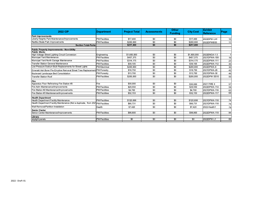| <b>2022 CIP</b>                                                                 | Department           | <b>Project Total</b> | <b>Assessments</b> | <b>Other</b><br><b>Funding</b> | <b>City Cost</b> | <b>Exhibit</b><br><b>Reference</b> | Page            |
|---------------------------------------------------------------------------------|----------------------|----------------------|--------------------|--------------------------------|------------------|------------------------------------|-----------------|
| <b>Park Improvements</b>                                                        |                      |                      |                    |                                |                  |                                    |                 |
| Liberty Heights Park Maintenance/Improvements                                   | PW/Facilities        | \$17,400             | \$0                | \$0                            | \$17,400         | 2022DPW LH1                        | 10 <sup>1</sup> |
| Radtke Skate Park Improvements                                                  | PW/Facilities        | \$200,000            | \$0                | \$0                            | \$200,000        | 2022DPWBS5                         | 11              |
| <b>Section Total-Parks</b>                                                      |                      | \$217,400            | \$0                | \$0                            | \$217,400        |                                    |                 |
| <b>Public Property Improvements - Non-Utility</b>                               |                      |                      |                    |                                |                  |                                    |                 |
| <b>Public Works</b>                                                             |                      |                      |                    |                                |                  |                                    |                 |
| High Voltage Street Lighting Circuit Conversion                                 | Engineering          | \$1,600,000          | $\overline{30}$    | \$0                            | \$1,600,000      | 2022ENGA-1-3                       | 1               |
| Municipal Yard Maintenance                                                      | PW/Facilities        | \$457,375            | \$0                | \$0                            | \$457,375        | 2021DPWA-109                       | 16              |
| Municipal Yard North Garage Maintenance                                         | PW/Facilities        | \$314,175            | \$0                | \$0                            | \$314,175        | 2022DPWA-111                       | 23              |
| Transfer Station General Maintenance                                            | PW/Facilities        | \$39,105             | \$0                | \$0                            | \$39,105         | 2022DPWA-112                       | 35              |
| Low Pressure Sodium Bulb Replacements for Street Lights                         | PW/Electrical        | \$200,000            | \$0                | \$0                            | \$200,000        | 2022DPWA-8                         | 30              |
| Emerald Ash Borer Pre-Emptive Removal Street Tree Replacemen                    | PW/Forestry          | \$18,750             | \$0                | \$0                            | \$18,750         | 2021DPWA-29                        | 42              |
| Boulevard Landscape Bed Consolidation                                           | PW/Forestry          | \$13,700             | \$0                | \$0                            | \$13,700         | 2021DPWA-30                        | 46              |
| <b>Transfer Station Roof</b>                                                    | <b>PW/Facilities</b> | \$200,000            | \$0                | \$0                            | \$200,000        | 2022DPW SS10                       | 50              |
| Fire                                                                            |                      |                      |                    |                                |                  |                                    |                 |
| Apparatus Floor Refinishing-Fire Station #3                                     | Fire                 | \$30,000             | \$0                | \$0                            | \$30,000         | 2021 FIRE 4                        | 57              |
| Fire Adm Maintenance/Improvements                                               | PW/Facilities        | \$29.550             | \$0                | \$0                            | \$29,550         | 2022DPWA-114                       | 59              |
| Fire Station #2 Maintenance/Improvements                                        | PW/Facilities        | \$4,700              | \$0                | \$0                            | \$4,700          | 2021DPWA-116                       | 63              |
| Fire Station #3 Maintenance/Improvements                                        | PW/Facilities        | \$32,153             | \$0                | \$0                            | \$32,153         | 2022DPWA-117                       | 69              |
| <b>Health Department</b>                                                        |                      |                      |                    |                                |                  |                                    |                 |
| <b>Health Department Facility Maintenance</b>                                   | <b>PW/Facilities</b> | \$120,698            | \$0                | \$0                            | \$120,698        | 2021DPWA-118                       | 74              |
| Health Department Facility Maintenance (Not a duplicate, from 202 PW/Facilities |                      | \$66,731             | \$0                | \$0                            | \$66.731         | 2021DPWA-118                       | 74              |
| Wall Removal/Partition Installation                                             | Health               | \$7.420              | \$0                | \$0                            | \$7.420          | 2022-Health1                       | 79              |
| <b>Senior Center</b>                                                            |                      |                      |                    |                                |                  |                                    |                 |
| Senior Center Maintenance/Improvements                                          | <b>PW/Facilities</b> | \$98,800             | \$0                | \$0                            | \$98,800         | 2022DPWA-119                       | 84              |
| Library                                                                         |                      |                      |                    |                                |                  |                                    |                 |
| skylight panels                                                                 | <b>PW/Facilities</b> | $\overline{50}$      | $\overline{30}$    | \$0                            | \$0              | 2022DPW L1                         | 89              |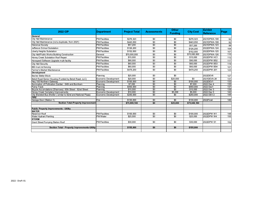| <b>2022 CIP</b>                                               | <b>Department</b>    | <b>Project Total</b> | <b>Assessments</b> | <b>Other</b><br><b>Funding</b> | <b>City Cost</b> | <b>Exhibit</b><br><b>Reference</b> | Page |
|---------------------------------------------------------------|----------------------|----------------------|--------------------|--------------------------------|------------------|------------------------------------|------|
| <b>General</b>                                                |                      |                      |                    |                                |                  |                                    |      |
| City Hall Maintenance                                         | <b>PW/Facilities</b> | \$276,323            | \$0                | \$0                            | \$276,323        | 2021DPWA-108                       | 92   |
| City Hall Maintenance (not a duplicate, from 2021)            | <b>PW/Facilities</b> | \$443,050            | \$0                | \$0                            | \$443,050        | 2021DPWA-108                       | 92   |
| <b>Historical Society</b>                                     | PW/Facilities        | \$57,200             | $\overline{30}$    | $\overline{50}$                | \$57,200         | 2021DPWA-123                       | 98   |
| Jefferson School Substation                                   | PW/Facilities        | \$126.200            | $\overline{30}$    | $\overline{50}$                | \$126,200        | 2022DPWA-124                       | 104  |
| Liberty Heights Substation                                    | <b>PW/Facilities</b> | \$152,000            | $\overline{30}$    | \$0                            | \$152,000        | 2022DPWA-125                       | 107  |
| City Hall/Public Works Building Construction                  | General              | \$70,000,000         | $\overline{30}$    | $\overline{50}$                | \$70,000,000     | 2021DPWA-126                       | 110  |
| Honey Creek Substation Roof Repair                            | PW/Facilities        | \$15,000             | \$0                | \$0                            | \$15,000         | 2022DPW HC1                        | 112  |
| Honeywell Software Upgrade multi-facility                     | <b>PW/Facilities</b> | \$90,000             | \$0                | \$0                            | \$90,000         | 2022DPW BS2                        | 117  |
| <b>City Hall Security</b>                                     | PW/Facilities        | \$60,000             | \$0                | \$0                            | \$60,000         | 2022DPW BS3                        | 119  |
| <b>BID muni lot fencing</b>                                   | PW/Facilities        | \$60,000             | \$0                | \$0                            | \$60,000         | 2022DPW BS4                        | 121  |
| Farmer's Market Maintenance                                   | <b>PW/Facilities</b> | \$479,250            | \$0                | \$0                            | \$479,250        | 2022DPW-201                        | 123  |
| <b>Development</b>                                            |                      |                      |                    |                                |                  |                                    |      |
| Becher Better Block                                           | Planning             | \$25,000             | \$0                | \$0                            |                  | 2022DEV6                           | 127  |
| Beloit Road Senior Housing (Funded by Beloit Road, LLC)       | Economic Development | \$20,000             | \$0                | \$20,000                       | \$0              | 2021DEVA-24                        | 131  |
| Hwy 100 Northern Gateway                                      | Economic Development | \$100,000            | $\overline{30}$    | \$0                            | \$100.000        | 2022DEV1                           | 133  |
| Illumination of Pollination Garden - 64th and Burnham         | Planning             | \$7.000              | \$0                | \$0                            | \$7,000          | 2022 Dev 4                         | 135  |
| Pump Track                                                    | Planning             | \$450,000            | \$0                | \$0                            | \$450,000        | 2022 Dev1                          | 137  |
| Bicycle Accomdations (Sharrows) 83th Street - 92nd Street     | Planning             | \$15,000             | \$0                | $\overline{50}$                | \$15,000         | 2022 Dev 3                         | 139  |
| Honey Creek Cemetery Improvements                             | Economic Development | \$10,000             | $\overline{30}$    | \$5,000                        | \$5,000          | 2022 Dev 5                         | 142  |
| City Branded Bus Shelter (similar to 92nd and National Plaza) | Economic Development | \$250,000            | \$0                | \$0                            | \$250,000        | 2022 DEV 2                         | 144  |
| <b>FIRE</b>                                                   |                      |                      |                    |                                |                  |                                    |      |
| Garage Door (Station 1)                                       | Fire                 | \$130,000            | $\overline{30}$    | $\overline{50}$                | \$130,000        | 2022Fire4                          | 146  |
| <b>Section Total-Property Improvement</b>                     |                      | \$75,999,180         | \$0                | \$25,000                       | \$75,949,180     |                                    |      |
| Public Property Improvements - Utility                        |                      |                      |                    |                                |                  |                                    |      |
| <b>WATER</b>                                                  |                      |                      |                    |                                |                  |                                    |      |
| Reservoir Roof                                                | <b>PW/Facilities</b> | \$100,000            | \$0                | $\overline{50}$                | \$100,000        | 2022DPW W1                         | 148  |
| Water Hydrant Painting                                        | PW/Water             | \$25,000             | $\overline{30}$    | $\overline{50}$                | \$25,000         | 2022DPW W4                         | 150  |
| Istorm                                                        |                      |                      |                    |                                |                  |                                    |      |
| Grant Street Pumping Station Roof                             | <b>PW/Facilities</b> | \$30,000             | \$0                | \$0                            | \$30.000         | 2022DPW S1                         | 152  |
|                                                               |                      |                      |                    |                                |                  |                                    |      |
| <b>Section Total - Property Improvements-Utility</b>          |                      | \$155,000            | \$0                | \$0                            | \$155,000        |                                    |      |
|                                                               |                      |                      |                    |                                |                  |                                    |      |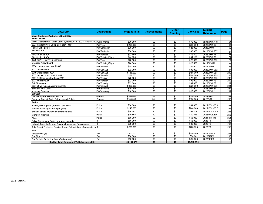| <b>2022 CIP</b>                                                              | <b>Department</b>    | <b>Project Total</b> | <b>Assessments</b> | <b>Other</b><br><b>Funding</b> | <b>City Cost</b> | <b>Exhibit</b><br><b>Reference</b> | Page |
|------------------------------------------------------------------------------|----------------------|----------------------|--------------------|--------------------------------|------------------|------------------------------------|------|
| <b>Maior Equipment/Vehicles - Non-Utility</b>                                |                      |                      |                    |                                |                  |                                    |      |
| Public Works                                                                 |                      |                      |                    |                                |                  |                                    |      |
| Asset Management / Work Order System (2018 - 2023 Total = \$750 Public Works |                      | \$70,000             | \$0                | \$0                            | \$70,000         | 2021DPW A-27                       | 154  |
| 2007 Tandem Plow Dump Spreader - #1011                                       | PW/Fleet             | \$268.000            | \$0                | \$0                            | \$268.000        | 2022DPW SS4                        | 157  |
| Packer Lift Tippers                                                          | PW/Sanitation        | \$28,900             | \$0                | \$0                            | \$28,900         | 2022DPW4                           | 162  |
| Refuse Carts                                                                 | PW/Sanitation        | \$30,000             | \$0                | \$0                            | \$30,000         | 2022DPW SS7                        | 165  |
| Pick-Up Truck #207                                                           | <b>PW/Forestry</b>   | \$72,500             | \$0                | \$0                            | \$72.500         | 2022DPW F1                         | 167  |
| Pick-Up Truck #56                                                            | PW/Building/Signs    | \$44,150             | \$0                | $\sqrt{50}$                    | \$44,150         | 2022DPW BS1                        | 174  |
| 1999 (2) 11' Heavy Truck Plows                                               | PW/Fleet             | \$26,900             | \$0                | \$0                            | \$26,900         | 2022DPW SS9                        | 179  |
| Message Arrow Board                                                          | PW/Building/Signs    | \$20,500             | \$0                | \$0                            | \$20,500         | 2021DPW29                          | 181  |
| 2004 concrete road saw #2698                                                 | PW/San&St            | \$45,000             | \$0                | \$0                            | \$45,000         | 2022DPW7                           | 191  |
| 2002 holder #2954                                                            | PW/San&St            | \$92,000             | \$0                | \$0                            | \$92,000         | 2022DPW SS2                        | 198  |
| 2010 wheel loader #2947                                                      | PW/San&St            | \$188,000            | \$0                | $\overline{50}$                | \$188,000        | 2022DPW SS3                        | 200  |
| 2007 tandem dump truck #1009                                                 | PW/San&St            | \$268,000            | \$0                | \$0                            | \$268,000        | 2022DPW SS5                        | 203  |
| 2001 F-450 dump/plow truck #209                                              | PW/San&st            | \$78,000             | \$0                | \$0                            | \$78,000         | 2022DPW SS6                        | 206  |
| 2003 holder #2955                                                            | PW/Forestry          | \$92,000             | \$0                | \$0                            | \$92,000         | 2022DPW F2                         | 212  |
| Soil Flipscreen                                                              | PW/Forestry          | \$62,680             | \$0                | \$0                            | \$62,680         | 2022DPW F3                         | 217  |
| 2007 20 yd refuse packer/plow #816                                           | PW/San&St            | \$320,000            | \$0                | \$0                            | \$320,000        | <b>2022DPW SS8</b>                 | 221  |
| <b>Electrical Pole Claw</b>                                                  | <b>PW/Electrical</b> | \$10,000             | $\overline{50}$    | \$0                            | \$10,000         | 2022DPW E1                         | 224  |
| <b>Inventory Scanner</b><br><b>City Hall</b>                                 | PW/Inventory         | \$10,000             | \$0                | \$0                            | \$10,000         | 2022DPW I1                         | 231  |
| Virtual City Hall Software Solution                                          | General              | \$200,000            | \$0                | \$0                            | \$200,000        | 2022ADM1                           | 233  |
| Common Council Audio Enhancement Solution                                    | General              | \$100,000            | \$0                | \$0                            | \$100,000        | 2022CC1                            | 235  |
| Police                                                                       |                      |                      |                    |                                |                  |                                    |      |
| nvestigative Squads (replace 2 per year)                                     | Police               | \$64,000             | \$0                | \$0                            | \$64,000         | 2021 POLICE 4                      | 237  |
| Marked Squads (replace 6 per year)                                           | Police               | \$240,000            | \$0                | \$0                            | \$240,000        | 2021 POLICE 5                      | 239  |
| Squad Camera Replacement/Maintenance                                         | Police               | \$54,107             | \$0                | \$0                            | \$54,107         | 2021 POLICE 1                      | 241  |
| Microfilm Machine                                                            | Police               | \$10,855             | \$0                | \$0                            | \$10,855         | 2022POLICE3                        | 253  |
|                                                                              | Police               | \$68,959             | \$0                | \$0                            | \$68,959         | 2021Police3a                       |      |
| <b>Alprs</b>                                                                 | ΙT                   |                      | \$0                | \$0                            |                  | 2022IT1                            | 251  |
| Police Department Scale Hardware Upgrade                                     | lιT                  | \$56,000<br>\$39,000 | \$0                | \$0                            | \$56,000         |                                    | 255  |
| Network Security Camera Server Infrastructure Replacement                    |                      |                      |                    |                                | \$39,000         | 2022IT2                            | 257  |
| Total E-mail Protection Service (5 year Subscription) - Barracuda UpIT       |                      | \$228,825            | \$0                | \$0                            | \$228,825        | 2022IT3                            | 259  |
| Fire                                                                         |                      |                      |                    |                                |                  |                                    |      |
| Ambulances (1)                                                               | Fire                 | \$300,000            | \$0                | \$0                            | \$300,000        | 2022 FIRE 1                        | 261  |
| Fire Pick Up                                                                 | Fire                 | \$50,000             | \$0                | $\sqrt{50}$                    | \$50,00          | 2022FIRE2                          | 263  |
| Fire Ballistic Protection Gear (Body Armor)                                  | Fire                 | \$55,000             | \$0                | \$0                            | \$455,000        | 2022FIRE3                          | 265  |
| Section Total-Equipment/Vehicles-Non-Utility                                 |                      | \$3,193,376          | \$0                | \$0                            | \$3,543,376      |                                    |      |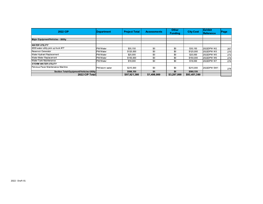| <b>2022 CIP</b>                          | Department     | <b>Project Total</b> | <b>Assessments</b> | <b>Other</b><br><b>Funding</b> | <b>City Cost</b> | <b>Exhibit</b><br><b>Reference</b> | Page |
|------------------------------------------|----------------|----------------------|--------------------|--------------------------------|------------------|------------------------------------|------|
| Major Equipment/Vehicles - Utility       |                |                      |                    |                                |                  |                                    |      |
|                                          |                |                      |                    |                                |                  |                                    |      |
| <b>WATER UTILITY</b>                     |                |                      |                    |                                |                  |                                    |      |
| 2009 water utility pick up truck #77     | PW/Water       | \$35,150             | \$0                | \$0                            | \$35,150         | 2022DPW W2                         | 267  |
| Reservoir Generator                      | PW/Water       | \$125,000            | \$0                | \$0                            | \$125,000        | 2022DPW W3                         | 270  |
| Water Hydrant Replacement                | PW/Water       | \$25,000             | \$0                | \$0                            | \$25,000         | 2022DPW W5                         | 272  |
| Water Meter Replacement                  | PW/Water       | \$150,000            | \$0                | \$0                            | \$150,000        | 2022DPW W6                         | 274  |
| Water Tank Maintenance                   | PW/Water       | \$18,000             | \$0                | \$0                            | \$18,000         | 2022DPW W7                         | 276  |
| <b>STORM WATER UTILITY</b>               |                |                      |                    |                                |                  |                                    |      |
| Pervious Paver Maintenance Machine       | PW/storm water | \$215,000            | \$0                | \$0                            | \$215,000        | 2022DPW SW1                        | 278  |
| Section Total-Equipment/Vehicles-Utility |                | \$568,150            | \$0                | \$0                            | \$568,150        |                                    |      |
| 2022 CIP Total                           |                | \$97,921,380         | \$1,498,000        | \$3,297,000                    | \$93,451,380     |                                    |      |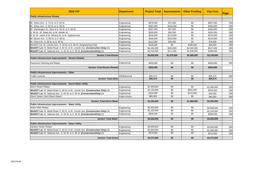| <b>2023 CIP</b>                                                                  | Department           | <b>Project Total</b> | <b>Assessments</b> | <b>Other Funding</b> | <b>City Cost</b> | Page |
|----------------------------------------------------------------------------------|----------------------|----------------------|--------------------|----------------------|------------------|------|
| <b>Public Infrastructure Streets</b>                                             |                      |                      |                    |                      |                  |      |
|                                                                                  |                      |                      |                    |                      |                  |      |
| W. Arthur Ave.: S. 76 St. to S. 84 St.                                           | Engineering          | \$578,000            | \$71,000           | \$0                  | \$507,000        | 290  |
| W. Arthur Ave.: S. 60 St. to S. 68 St.                                           | Engineering          | \$581,000            | \$126,000          | \$0                  | \$455,000        | 290  |
| W. Washington St.: East of S. 56 St. to S. 60 St.                                | Engineering          | \$457,000            | \$57,000           | \$0                  | \$400,000        | 290  |
| S. 59 St.: W. Beloit Rd. to W. Mobile St.                                        | Engineering          | \$296,000            | \$92,000           | \$0                  | \$204,000        | 290  |
| S. 61 St.: North of W. Mineral St. to W. National Ave.                           | Engineering          | \$548,000            | \$170,000          | \$0                  | \$378,000        | 290  |
| W. Boone Ave.: S. 86 St. to S. 88 St.                                            | Engineering          | \$296,000            | \$153,000          | \$0                  | \$143,000        | 290  |
| W. Pierce St.: S. 58 St. to S. 60 St.                                            | Engineering          | \$113,000            | \$35,000           | \$0                  | \$78,000         | 290  |
| WisDOT Let: W. Lincoln Ave.: S. 93 St. to S. 95 St. (Engineering Only)           | Engineering          | \$236,000            | \$0                | \$188,000            | \$48,000         | 290  |
| WisDOT Let: W. Beloit Road: S. 60 St. to W. Lincoln Ave. (Construction Only) (A) | Engineering          | \$4,456,000          | \$264,000          | \$3,565,000          | \$627,000        | 290  |
| WisDOT Let: W. National Ave.: S. 62 St. to S. 65 St. (ConstructionOnly) (A)      | Engineering          | \$2,045,000          | \$111,000          | \$1,636,000          | \$298,000        | 290  |
| <b>Section Total-Streets</b>                                                     |                      | \$9,606,000          | \$1,079,000        | \$5,389,000          | \$3,138,000      |      |
| Public Infrastructure Improvements - Streets Related                             |                      |                      |                    |                      |                  |      |
| Pavement Patching and Repair                                                     | Engineering          | \$250,000            | \$0                | \$0                  | \$250,000        | 290  |
| <b>Section Total-Streets Related</b>                                             |                      | \$250,000            | \$0                | \$0                  | \$250,000        |      |
| Public Infrastructure Improvements - Other                                       |                      |                      |                    |                      |                  |      |
| <b>Traffic Controls</b>                                                          | <b>PW/Electrical</b> | \$25,274             | \$0                | \$0                  | \$25,274         | 296  |
| <b>Section Total-Other</b>                                                       |                      | \$25,274             | \$0                | $\overline{50}$      | \$25,274         |      |
| Public Infrastructure Improvements - Storm Water Utility                         |                      |                      |                    |                      |                  |      |
| <b>Storm Sewer Relays</b>                                                        | Engineering          | \$1,900,000          | \$0                | \$0                  | \$1,900,000      | 290  |
| WisDOT Let: W. Beloit Road: S. 60 St. to W. Lincoln Ave. (Construction Only) (A) | Engineering          | \$1,130,000          | \$0                | \$904,000            | \$226,000        | 290  |
| WisDOT Let: W. National Ave.: S. 62 St. to S. 65 St. (ConstructionOnly) (A)      | Engineering          | \$220,000            | $\overline{60}$    | \$176,000            | \$44,000         | 290  |
| Storm Sewer Catch Basin Repair                                                   | <b>Public Works</b>  | \$80,000             | \$0                | \$0                  | \$80,000         | 380  |
| <b>Section Total-Storm Water</b>                                                 |                      | \$3,330,000          | \$0                | \$1,080,000          | \$2,250,000      |      |
| Public Infrastructure Improvements - Water Utility                               |                      |                      |                    |                      |                  |      |
| <b>Water Main Relays</b>                                                         | Engineering          | \$2,500,000          | $\overline{50}$    | $\sqrt{60}$          | \$2,500,000      | 290  |
| WisDOT Let: W. Beloit Road: S. 60 St. to W. Lincoln Ave. (Construction Only) (A) | Engineering          | \$1,220,000          | \$0                | \$0                  | \$1,220,000      | 290  |
| WisDOT Let: W. National Ave.: S. 62 St. to S. 65 St. (ConstructionOnly) (A)      | Engineering          | \$306,000            | \$0                | \$0                  | \$306,000        | 290  |
| <b>Section Total-Water</b>                                                       |                      | \$4,026,000          | \$0                | \$0                  | \$4,026,000      |      |
| Public Infrastructure Improvements - Sewer Utility                               |                      |                      |                    |                      |                  |      |
| <b>Sanitary Sewer Relays</b>                                                     | Engineering          | \$3,000,000          | \$0                | \$0                  | \$3,000,000      | 290  |
| WisDOT Let: W. Beloit Road: S. 60 St. to W. Lincoln Ave. (Construction Only) (A) | Engineering          | \$1,000,000          | \$0                | \$0                  | \$1,000,000      | 290  |
| WisDOT Let: W. National Ave.: S. 62 St. to S. 65 St. (Construction Only) (A)     | Engineering          | \$270,000            | \$0                | \$0                  | \$270,000        | 290  |
| <b>Section Total-Sewer</b>                                                       |                      | \$4,270,000          | \$0                | \$0                  | \$4,270,000      |      |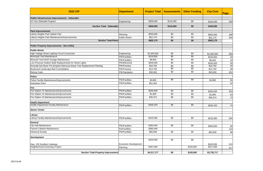| <b>2023 CIP</b>                                                        | <b>Department</b>               | <b>Project Total</b> | <b>Assessments</b> | <b>Other Funding</b> | <b>City Cost</b>       | Page |
|------------------------------------------------------------------------|---------------------------------|----------------------|--------------------|----------------------|------------------------|------|
| <b>Public Infrastructure Improvements - Sidewalks</b>                  |                                 |                      |                    |                      |                        |      |
| 10 Year Sidewalk Program                                               | Engineering                     | \$300,000            | \$116,000          | \$0                  | \$184,000              | 290  |
| <b>Section Total - Sidewalks</b>                                       |                                 | \$300,000            | \$116,000          | \$0                  | \$184,000              |      |
|                                                                        |                                 |                      |                    |                      |                        |      |
| <b>Park Improvements</b><br>Liberty Heights Park Splash Pad            |                                 | \$550,000            | \$0                | \$0                  |                        |      |
| Liberty Heights Park Maintenance/Improvements                          | Planning<br><b>Public Works</b> | \$52,170             | \$0                | \$0                  | \$550,000              | 298  |
| <b>Section Total-Parks</b>                                             |                                 | \$602,170            | \$0                | \$0                  | \$52,170<br>\$602,170  | 300  |
|                                                                        |                                 |                      |                    |                      |                        |      |
| <b>Public Property Improvements - Non-Utility</b>                      |                                 |                      |                    |                      |                        |      |
| <b>Public Works</b>                                                    |                                 |                      |                    |                      |                        |      |
| High Voltage Street Lighting Circuit Conversion                        | Engineering                     | \$1,600,000          | \$0                | \$0                  | \$1,600,000            | 290  |
| <b>Municipal Yard Maintenance</b>                                      | <b>PW/Facilities</b>            | \$318,800            | \$0                | \$0                  | \$318,800              | 16   |
| Municial Yard North Garage Maintenance                                 | PW/Facilities                   | \$9,600              | \$0                | \$0                  | \$9,600                | 23   |
| Low Pressure Sodium Bulb Replacements for Street Lights                | <b>PW/Electrical</b>            | \$200,000            | $\overline{50}$    | $\sqrt{6}$           | \$200,000              | 30   |
| Emerald Ash Borer Pre-Emptive Removal Street Tree Replacement Planting | <b>PW/Forestry</b>              | \$18,750             | \$0                | \$0                  | \$18,750               | 42   |
| Boulevard Landscape Bed Consolidation                                  | PW/Forestry                     | \$13,700             | \$0                | \$0                  | \$13,700               | 46   |
| <b>Refuse Carts</b>                                                    | PW/Sanitation                   | \$30,000             | \$0                | \$0                  | \$30,000               | 301  |
| <b>Police</b>                                                          |                                 |                      |                    |                      |                        |      |
| Police Facility Maintenance/Improvements                               | <b>PW/Facilities</b>            | \$3,800              | $\overline{60}$    | $\overline{30}$      | \$3,800                | 55   |
| <b>Substation Roof</b>                                                 | <b>PW/Facilities</b>            | \$51,000             |                    |                      |                        | 52   |
| Fire                                                                   |                                 |                      |                    |                      |                        |      |
| Fire Station #1 Maintenance/Improvements                               | <b>PW/Facilities</b>            | \$200,000            | \$0                | \$0                  | \$200,000              | 303  |
| Fire Station #2 Maintenance/Improvements                               | <b>PW/Facilities</b>            | \$1,800              | $\overline{50}$    | $\overline{30}$      | \$1,800                | 63   |
| Fire Station #3 Maintenance/Improvements                               | <b>PW/Facilities</b>            | \$35,074             | \$0                | \$0                  | \$35,074               | 72   |
| <b>Health Department</b>                                               |                                 |                      |                    |                      |                        |      |
| <b>Health Department Facility Maintenance</b>                          | <b>PW/Facilities</b>            | \$200,333            | \$0                | \$0                  | \$200,333              | 74   |
| <b>Senior Center</b>                                                   |                                 |                      |                    |                      |                        |      |
| Library                                                                |                                 |                      |                    |                      |                        |      |
| Library Facility Maintenance/Improvements                              | <b>PW/Facilities</b>            | \$233,360            | \$0                | \$0                  | \$233,360              | 305  |
| <b>General</b>                                                         |                                 |                      |                    |                      |                        |      |
| <b>City Hall Maintenance</b>                                           | <b>PW/Facilities</b>            | \$393,500            | \$0                | \$0                  | \$393,500              | 92   |
| Farmer's Market Maintenance                                            | <b>Pw/Facilities</b>            | \$380,460            |                    |                      |                        | 123  |
| <b>Historical Society</b>                                              | <b>PW/Facilities</b>            | \$60,000             | \$0                | $\sqrt{60}$          | \$60,000               | 98   |
|                                                                        |                                 |                      |                    |                      |                        |      |
| <b>Development</b>                                                     |                                 | \$100,000            | \$0                | \$0                  |                        |      |
|                                                                        | Economic Development            |                      |                    |                      |                        |      |
| Hwy. 100 Southern Gateway<br>Neighborhood Greenway Project             | Planning                        | \$467,000            |                    | \$150,000            | \$100,000<br>\$317,000 | 315  |
|                                                                        |                                 |                      |                    |                      |                        | 317  |
| Section Total-Property Improvement                                     |                                 | \$4,317,177          | \$0                | \$150,000            | \$3,735,717            |      |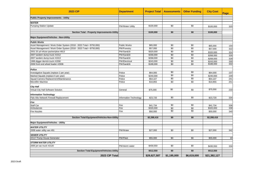| <b>2023 CIP</b>                                                      | <b>Department</b>       | <b>Project Total</b> | <b>Assessments</b> | <b>Other Funding</b> | <b>City Cost</b> | Page  |
|----------------------------------------------------------------------|-------------------------|----------------------|--------------------|----------------------|------------------|-------|
| <b>Public Property Improvements - Utility</b>                        |                         |                      |                    |                      |                  |       |
| <b>WATER</b>                                                         |                         |                      |                    |                      |                  |       |
| Pumping Station Update                                               | <b>PW/Water Utility</b> | \$100,000            | \$0                | \$0                  | \$100,000        | 320   |
| Section Total - Property Improvements-Utility                        |                         | \$100,000            | \$0                | \$0                  | \$100,000        |       |
| <b>Major Equipment/Vehicles - Non-Utility</b>                        |                         |                      |                    |                      |                  |       |
| <b>Public Works</b>                                                  |                         |                      |                    |                      |                  |       |
| Asset Management / Work Order System (2018 - 2023 Total = \$750,000) | <b>Public Works</b>     | \$65,000             | \$0                | \$0                  | \$65,000         | 154   |
| Asset Management / Work Order System (2018 - 2023 Total = \$750,000) | <b>PW/Forestry</b>      | \$57,000             | \$0                | \$0                  | \$57,000         | 322   |
| 2001 20 yd refuse packer/plow #813                                   | PW/San&St               | \$320,000            | $\overline{50}$    | $\sqrt{60}$          | \$320,000        | 324   |
| 2007 tandem dump truck #1012                                         | PW/San&St               | \$268,000            | \$0                | \$0                  | \$268,000        | 326   |
| 2007 tandem dump truck #1013                                         | PW/San&St               | \$268,000            | $\overline{50}$    | $\overline{50}$      | \$268,000        | 328   |
| 1999 digger derrick truck #1558                                      | <b>PW/Electrical</b>    | \$243,000            | \$0                | \$0                  | \$243,000        | 330   |
| 2006 front end wheel loader #2936                                    | PW/San&St               | \$188,000            | \$0                | \$0                  | \$188,000        | 332   |
| Police                                                               |                         |                      |                    |                      |                  |       |
| Investigative Squads (replace 2 per year)                            | Police                  | \$64,000             | $\overline{50}$    | $\sqrt{60}$          | \$64,000         | 237   |
| Marked Squads (replace 6 per year)                                   | Police                  | \$240,000            | \$0                | \$0                  | \$240,000        | 239   |
| Squad Camera Replacement/Maintenance                                 | Police                  | \$54,107             | $\overline{50}$    | $\overline{50}$      | \$54,107         | 241   |
| Microfilm Machine                                                    | Police                  | \$10,855             | \$0                | \$0                  | \$10,855         | 251   |
| <b>City Hall</b>                                                     |                         |                      |                    |                      |                  |       |
| Virtual City Hall Software Solution                                  | General                 | \$75,000             | \$0                | \$0                  | \$75,000         | 233   |
| <b>Information Technology</b>                                        |                         |                      |                    |                      |                  |       |
| Palo Alto Network Firewall Replacement                               | Information Technology  | \$23,720             | \$0                | \$0                  | \$23,720         | 334   |
| Fire                                                                 |                         |                      |                    |                      |                  |       |
| <b>Staff Car</b>                                                     | Fire                    | \$41,734             | \$0                | \$0                  | \$41,734         | 336   |
| Ambulances                                                           | Fire                    | \$320,000            | $\overline{50}$    | $\overline{60}$      | \$320,000        | $338$ |
| <b>Fire Nozzles</b>                                                  | Fire                    | \$50,000             | \$0                | \$0                  | \$50,000         | 340   |
| Section Total-Equipment/Vehicles-Non-Utility                         |                         | \$2,288,416          | \$0                | \$0                  | \$2,288,416      |       |
| Major Equipment/Vehicles - Utility                                   |                         |                      |                    |                      |                  |       |
| <b>WATER UTILITY</b>                                                 |                         |                      |                    |                      |                  |       |
| 2008 water utility van #91                                           | PW/Water                | \$27,000             | $\sqrt{50}$        | $\sqrt{60}$          | \$27,000         | 342   |
| <b>SEWER UTILITY</b>                                                 |                         |                      |                    |                      |                  |       |
| #2117 Pump House Generator                                           | <b>PW/Fleet</b>         | \$55,000             | $\sqrt{50}$        | $\sqrt{6}$           | \$55,000         | 10    |
| <b>STORM WATER UTILITY</b>                                           |                         |                      |                    |                      |                  |       |
| 2005 jet vac truck #2120                                             | PW/storm water          | \$430,550            | \$0                | \$0                  | \$430,550        | 334   |
| Section Total-Equipment/Vehicles-Utility                             |                         | \$512,550            | \$0                | \$0                  | \$512,550        |       |
| 2023 CIP Total                                                       |                         | \$29,627,587         | \$1,195,000        | \$6,619,000          | \$21,382,127     |       |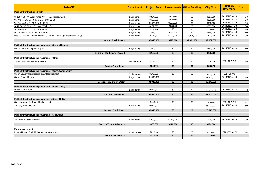| <b>2024 CIP</b>                                                         | <b>Department</b>    | <b>Project Total</b> |                 | <b>Assessments   Other Funding</b> | <b>City Cost</b> | <b>Exhibit</b><br><b>Reference</b> | Page |
|-------------------------------------------------------------------------|----------------------|----------------------|-----------------|------------------------------------|------------------|------------------------------------|------|
| <b>Public Infrastructure Streets</b>                                    |                      |                      |                 |                                    |                  |                                    |      |
| S. 118th St.: W. Washington Ave. to W. Rainbow Ave.                     | Engineering          | \$304,000            | \$87,000        | \$0                                | \$217,000        | 2024ENGA-1-3                       | 346  |
| W. Walker St.: S. 60 St. to East of S. 56 St.                           | Engineering          | \$423,000            | \$53,000        | \$0                                | \$370,000        | 2024ENGA-1-3                       | 346  |
| W. Rogers St.: S. 76 St. to S. 84 St.                                   | Engineering          | \$1,027,000          | \$107,000       | \$0                                | \$920,000        | 2024ENGA-1-3                       | 346  |
| S. 77 St.: W. Pierce St. to W. Walker St.                               | Engineering          | \$232,000            | \$23,000        | \$0                                | \$209,000        | 2024ENGA-1-3                       | 346  |
| W. Pierce St.: S. 76 St. to S. 77 St.                                   | Engineering          | \$79,000             | \$0             | \$0                                | \$79,000         | 2024ENGA-1-3                       | 346  |
| W. Mitchell St.: S. 60 St. to S. 66 St.                                 | Engineering          | \$851,000            | \$182,000       | \$0                                | \$669,000        | 2024ENGA-1-3                       | 346  |
| WisDOT Let: W. Lincoln Ave.: S. 93 St. to S. 95 St. (Construction Only) | Engineering          | \$4,130,000          | \$123,000       | \$3,304,000                        | \$703,000        | 2024ENGA-1-3                       | 346  |
| <b>Section Total-Streets</b>                                            |                      | \$7,046,000          | \$575,000       | \$3,304,000                        | \$3,167,000      |                                    |      |
| Public Infrastructure Improvements - Streets Related                    |                      |                      |                 |                                    |                  |                                    |      |
| Pavement Patching and Repair                                            | Engineering          | \$250,000            | \$0             | \$0                                | \$250,000        | 2024ENGA-1-3                       | 346  |
| <b>Section Total-Streets Related</b>                                    |                      | \$250,000            | \$0             | \$0                                | \$250,000        |                                    |      |
| Public Infrastructure Improvements - Other                              |                      |                      |                 |                                    |                  |                                    |      |
| <b>Traffic Controls Cabinet/Software</b>                                | <b>PW/Electrical</b> | \$25,274             | \$0             | \$0                                | \$25,274         | 2021DPWA-3                         | 348  |
| <b>Section Total-Other</b>                                              |                      | \$25,274             | \$0             | \$0                                | \$25,274         |                                    |      |
| Public Infrastructure Improvements - Storm Water Utility                |                      |                      |                 |                                    |                  |                                    |      |
| Storm Sewer/Catch Basin Repair/Replacement                              | <b>Public Works</b>  | $\sqrt{3140,000}$    | \$0             | \$0                                | \$140,000        | 2024DPW9                           |      |
| <b>Storm Sewer Relays</b>                                               | Engineering          | \$1,900,000          |                 |                                    | \$1,900,000      | 2024ENGA-1-3                       | 346  |
| <b>Section Total-Storm Water</b>                                        |                      | \$2,040,000          | \$0             | \$0                                | \$2,040,000      |                                    |      |
| Public Infrastructure Improvements - Water Utility                      |                      |                      |                 |                                    |                  |                                    |      |
| <b>Water Main Relays</b>                                                | Engineering          | \$2,500,000          | $\overline{60}$ | $\overline{50}$                    | \$2,500,000      | 2024ENGA-1-3                       | 346  |
| <b>Section Total-Water</b>                                              |                      | \$2,500,000          | \$0             | \$0                                | \$2,500,000      |                                    |      |
| <b>Public Infrastructure Improvements - Sewer Utility</b>               |                      |                      |                 |                                    |                  |                                    |      |
| Sanitary Manhole/Repair/Replacement                                     |                      | \$45,000             | $\overline{60}$ | $\overline{50}$                    | \$45,000         | 2024DPWA-5                         | 352  |
| <b>Sanitary Sewer Relays</b>                                            | Engineering          | \$3,000,000          |                 |                                    | \$3,000,000      | 2024ENGA-1-3                       | 346  |
| <b>Section Total-Sewer</b>                                              |                      | \$3,045,000          | \$0             | \$0                                | \$3,045,000      |                                    |      |
| Public Infrastructure Improvements - Sidewalks                          |                      |                      |                 |                                    |                  |                                    |      |
| 10 Year Sidewalk Program                                                | Engineering          | \$300,000            | \$116,000       | \$0                                | \$184,000        | 2024ENGA-1-3                       | 346  |
| <b>Section Total - Sidewalks</b>                                        |                      | \$300,000            | \$116,000       | \$0                                | \$184,000        |                                    |      |
| <b>Park Improvements</b>                                                |                      |                      |                 |                                    |                  |                                    |      |
| Liberty Heights Park Maintenance/Improvements                           | Public Works         | \$21,050             | \$0             | \$0                                | \$21,050         | 2022DPWA-121                       | 298  |
| <b>Section Total-Parks</b>                                              |                      | \$21,050             | \$0             | \$0                                | \$21,050         |                                    |      |
|                                                                         |                      |                      |                 |                                    |                  |                                    |      |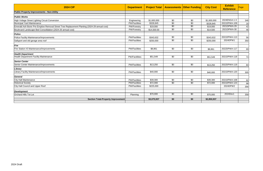| <b>2024 CIP</b>                                                                              | <b>Department</b>     | <b>Project Total</b> |                 | <b>Assessments   Other Funding</b> | <b>City Cost</b> | <b>Exhibit</b><br><b>Reference</b> | Page |
|----------------------------------------------------------------------------------------------|-----------------------|----------------------|-----------------|------------------------------------|------------------|------------------------------------|------|
| <b>Public Property Improvements - Non-Utility</b>                                            |                       |                      |                 |                                    |                  |                                    |      |
| <b>Public Works</b>                                                                          |                       |                      |                 |                                    |                  |                                    |      |
| High Voltage Street Lighting Circuit Conversion                                              | Engineering           | \$1,600,000          | \$0             | \$0                                | \$1,600,000      | 2024ENGA-1-3                       | 346  |
| Municipal Yard Maintenance                                                                   | <b>PW/Facilities</b>  | \$328,845            | $\sqrt{6}$      | \$0                                | \$328,845        | 2021DPWA-109                       | 16   |
| Emerald Ash Borer Pre-Emptive Removal Street Tree Replacement Planting (2024-29 annual cost) | PW/Forestry           | \$19,000             | \$0             | \$0                                | \$19,000         | 2021DPWA-29                        | 42   |
| Boulevard Landscape Bed Consolidation (2024-26 annual cost)                                  | PW/Forestry           | \$14,500.00          | \$0             | \$0                                | \$14,500         | 2021DPWA-30                        | 46   |
| Police                                                                                       |                       |                      |                 |                                    |                  |                                    |      |
| Police Facility Maintenance/Improvements                                                     | <b>PW/Facilities</b>  | \$343,632            | \$0             | \$0                                | \$343,632        | 2021DPWA-113                       | 56   |
| Sallyport and old garage area roof                                                           | <b>PW/Facilities</b>  | \$250,000            | \$0             | \$0                                | \$250,000        | 2024DPW1                           | 350  |
| Fire                                                                                         |                       |                      |                 |                                    |                  |                                    |      |
| Fire Station #3 Maintenance/Improvements                                                     | <b>PW/Facilities</b>  | \$8,861              | $\overline{60}$ | \$0                                | \$8,861          | 2022DPWA-117                       | 69   |
| <b>Health Department</b>                                                                     |                       |                      |                 |                                    |                  |                                    |      |
| <b>Health Department Facility Maintenance</b>                                                | <b>PW/Factilities</b> | \$51,549             | \$0             | \$0                                | \$51,549         | 2021DPWA-118                       | 74   |
| <b>Senior Center</b>                                                                         |                       |                      |                 |                                    |                  |                                    |      |
| Senior Center Maintenance/Improvements                                                       | <b>PW/Facilities</b>  | \$13,250             | \$0             | \$0                                | \$13,250         | 2022DPWA-119                       | 84   |
| Library                                                                                      |                       |                      |                 |                                    |                  |                                    |      |
| <b>Library Facility Maintenance/Improvements</b>                                             | <b>PW/Facilities</b>  | \$40,000             | \$0             | \$0                                | \$40,000         | 2021DPWA-120                       | 305  |
| <b>General</b>                                                                               |                       |                      |                 |                                    |                  |                                    |      |
| City Hall Maintenance                                                                        | <b>PW/Facilities</b>  | $\overline{$}39,300$ | \$0             | \$0                                | \$39,300         | 2021DPWA-108                       | 92   |
| <b>Historical Society</b>                                                                    | <b>PW/Facilities</b>  | \$72,000             | $\overline{50}$ | \$0                                | \$72,000         | 2021DPWA-123                       | 98   |
| <b>City Hall Council and Upper Roof</b>                                                      | <b>PW/Facilities</b>  | \$225,000            |                 |                                    |                  | 2024DPW2                           | 356  |
| <b>Development</b>                                                                           |                       |                      |                 |                                    |                  |                                    |      |
| Orchard Hills Tot Lot                                                                        | Planning              | \$70,000             | \$0             | \$0                                | \$70,000         | 2024Dev1                           | 358  |
| Section Total-Property Improvement                                                           |                       | \$3,075,937          | \$0             | \$0                                | \$2,850,937      |                                    |      |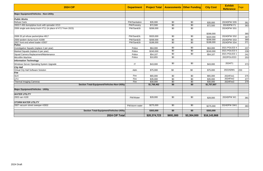| <b>2024 CIP</b>                                               | <b>Department</b> | <b>Project Total</b> |             | <b>Assessments Other Funding</b> | <b>City Cost</b> | <b>Exhibit</b><br><b>Reference</b> | Page |
|---------------------------------------------------------------|-------------------|----------------------|-------------|----------------------------------|------------------|------------------------------------|------|
| <b>Major Equipment/Vehicles - Non-Utility</b>                 |                   |                      |             |                                  |                  |                                    |      |
| <b>Public Works</b>                                           |                   |                      |             |                                  |                  |                                    |      |
| <b>Refuse Carts</b>                                           | PW/Sanitation     | \$35,000             | \$0         | \$0                              | \$35,000         | 2024DPW SS5                        | 361  |
| 2003 F-450 dump/plow truck with spreader #213                 | PW/Forestry       | \$72,500             | \$0         | \$0                              | \$72,500         | 2024DPW F1                         | 363  |
| 2006 single axle dump truck #711 (in place of #717 from 2023) | PW/San&St         | \$268,000            | \$0         | \$0                              |                  | 2024DPW SS1                        |      |
|                                                               |                   |                      |             |                                  | \$268,000        |                                    | 365  |
| 2008 20 yd refuse packer/plow #817                            | PW/San&St.        | \$320,000            | $\sqrt{60}$ | \$0                              | \$320,000        | 2024DPW SS2                        | 367  |
| 2006 tandem dump truck #1008                                  | PW/San&St         | \$268,000            | \$0         | \$0                              | \$268,000        | 2024DPW SS3                        | 369  |
| 2007 front end wheel loader #2937                             | PW/San&St         | \$188,000            | \$0         | \$0                              | \$188,000        | 2024DPW SS4                        | 371  |
| <b>Police</b>                                                 |                   |                      |             |                                  |                  |                                    |      |
| Investigative Squads (replace 2 per year)                     | Police            | \$64,000             | \$0         | \$0                              | \$64,000         | <b>2021 POLICE 4</b>               | 237  |
| Marked Squads (replace 6 per year)                            | Police            | \$240,000            | $\sqrt{60}$ | \$0                              | \$240,000        | 2021 POLICE 5                      | 239  |
| Squad Camera Replacement/Maintenance                          | Police            | \$54,107             | \$0         | \$0                              | \$54,107         | <b>2021 POLICE 1</b>               | 241  |
| Microfilm Machine                                             | Police            | \$10,855             | \$0         |                                  |                  | 2022POLICE3                        | 253  |
| <b>Information Technology</b>                                 |                   |                      |             |                                  |                  |                                    |      |
| Windows Server Operating System Upgrade                       | IT                | \$43,000             | \$0         | \$0                              | \$43,000         | 2024IT1                            | 373  |
| <b>City Hall</b>                                              |                   |                      |             |                                  |                  |                                    |      |
| Virtual City Hall Software Solution                           | Adm               | \$75,000             | \$0         | \$0                              | \$75,000         | 2022ADM1                           | 233  |
| Fire                                                          |                   |                      |             |                                  |                  |                                    |      |
| <b>SUV</b>                                                    | Fire              | \$65,000             | \$0         | \$0                              | \$65,000         | 2024Fire1                          | 375  |
| UTV                                                           | Fire              | \$35,000             | \$0         | \$0                              | \$35,000         | 2024Fire2                          | 377  |
| <b>Thermal Imaging Cameras</b>                                | Fire              | \$30,000             | \$0         | \$0                              | \$30,000         | 2024Fire3                          | 379  |
| Section Total-Equipment/Vehicles-Non-Utility                  |                   | \$1,768,462          | \$0         | \$0                              | \$1,757,607      |                                    |      |
| <b>Major Equipment/Vehicles - Utility</b>                     |                   |                      |             |                                  |                  |                                    |      |
| <b>WATER UTILITY</b>                                          |                   |                      |             |                                  |                  |                                    |      |
| 2003 van #100                                                 | PW/Water          | \$28,000             | \$0         | \$0                              | \$28,000         | 2024DPW W1                         | 381  |
| <b>STORM WATER UTILITY</b>                                    |                   |                      |             |                                  |                  |                                    |      |
| 2007 vacuum street sweeper #2832                              | PW/storm water    | \$275,000            | $\sqrt{60}$ | $\sqrt{60}$                      | \$275,000        | 2024DPW SW1                        | 383  |
| <b>Section Total-Equipment/Vehicles-Utility</b>               |                   | \$303,000            | \$0         | \$0                              | \$303,000        |                                    |      |
| 2024 CIP Total                                                |                   | \$20,374,723         | \$691,000   | \$3,304,000                      | \$16,143,868     |                                    |      |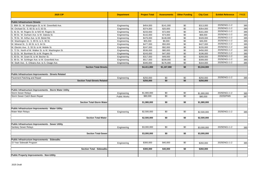| <b>2025 CIP</b>                                          | <b>Department</b>   | <b>Project Total</b> | <b>Assessments</b> | <b>Other Funding</b> | <b>City Cost</b> | <b>Exhibit Reference</b> | <b>PAGE</b> |
|----------------------------------------------------------|---------------------|----------------------|--------------------|----------------------|------------------|--------------------------|-------------|
|                                                          |                     |                      |                    |                      |                  |                          |             |
| <b>Public Infrastructure Streets</b>                     |                     |                      |                    |                      |                  | 2025ENG1-1-2             |             |
| S. 86th St.: W. Washington St. to W. Greenfield Ave.     | Engineering         | \$454,000            | \$141,000          | \$0                  | \$313,000        |                          | 385         |
| W. Orchard St.: S. 60 St. to S. 63 St.                   | Engineering         | \$374,000            | \$20,000           | \$0                  | \$354,000        | 2025ENG1-1-2             | 385         |
| S. 91 St.: W. Rogers St. to N/O W. Rogers St.            | Engineering         | \$233,000            | \$72,000           | \$0                  | \$161,000        | 2025ENG1-1-2             | 385         |
| S. 90 St.: W. Durham Ave. to W. Dakota St.               | Engineering         | \$142,000            | \$74,000           | \$0                  | \$68,000         | 2025ENG1-1-2             | 385         |
| S. 78 St.: W. Arthur Ave. to W. Beloit Rd.               | Engineering         | \$476,000            | \$148,000          | \$0                  | \$328,000        | 2025ENG1-1-2             | 385         |
| W. Washington St.: S. 89 St. to S. 90 St.                | Engineering         | \$55,000             | \$9,000            | \$0                  | \$46,000         | 2025ENG1-1-2             | 385         |
| W. Mineral St.: S. 60 St. to S. 64 St.                   | Engineering         | \$477,000            | \$50,000           | \$0                  | \$427,000        | 2025ENG1-1-2             | 385         |
| W. Electric Ave.: S. 55 St. to W. Mobile St.             | Engineering         | \$247,000            | \$92,000           | \$0                  | \$155,000        | 2025ENG1-1-2             | 385         |
| S. 72 St.: North of W. Walker St. to W. Washington St.   | Engineering         | \$536,000            | \$80,000           | \$0                  | \$456,000        | 2025ENG1-1-2             | 385         |
| S. 53 St.: W. Burnham St. to W. Rogers St.               | Engineering         | \$243,000            | \$47,000           | \$0                  | \$196,000        | 2025ENG1-1-2             | 385         |
| S. 83 St.: W. Grant St. to W. Becher St.                 | Engineering         | \$317,000            | \$49,000           | \$0                  | \$268,000        | 2025ENG1-1-2             | 385         |
| S. 90 St.: W. Schlinger Ave. to W. Greenfield Ave.       | Engineering         | \$517,000            | \$209,000          | \$0                  | \$308,000        | 2025ENG1-1-2             | 385         |
| W. Stuth Ave.: S. Orleans Ave. to S. Osage Ave.          | Engineering         | \$340,000            | \$176,000          | \$0                  | \$164,000        | 2025ENG1-1-2             | 385         |
| <b>Section Total-Streets</b>                             |                     | \$4,411,000          | \$1,167,000        | \$0                  | \$3,244,000      |                          |             |
|                                                          |                     |                      |                    |                      |                  |                          |             |
| Public Infrastructure Improvements - Streets Related     |                     |                      |                    |                      |                  |                          |             |
| Pavement Patching and Repair                             | Engineering         | \$250,000            | \$0                | \$0                  | \$250,000        | 2025ENG1-1-2             | 385         |
| <b>Section Total-Streets Related</b>                     |                     | \$250,000            | $\overline{50}$    | \$0                  | \$250,000        |                          |             |
|                                                          |                     |                      |                    |                      |                  |                          |             |
| Public Infrastructure Improvements - Storm Water Utility |                     |                      |                    |                      |                  |                          |             |
| <b>Storm Sewer Relays</b>                                |                     | \$1,900,000          | $\overline{50}$    | $\overline{50}$      |                  | 2025ENG1-1-2             |             |
| Storm Sewer Catch Basin Repair                           | Engineering         | \$80,000             | $\overline{50}$    | \$0                  | \$1,900,000      | 2025DPW9                 | 385         |
|                                                          | <b>Public Works</b> |                      |                    |                      | \$80,000         |                          | 387         |
| <b>Section Total-Storm Water</b>                         |                     | \$1,980,000          | \$0                | \$0                  | \$1,980,000      |                          |             |
|                                                          |                     |                      |                    |                      |                  |                          |             |
| Public Infrastructure Improvements - Water Utility       |                     |                      |                    |                      |                  |                          |             |
| <b>Water Main Relays</b>                                 | Engineering         | \$2,500,000          | \$0                | \$0                  | \$2,500,000      | 2025ENG1-1-2             | 385         |
|                                                          |                     |                      |                    |                      |                  |                          |             |
| <b>Section Total-Water</b>                               |                     | \$2,500,000          | \$0                | \$0                  | \$2,500,000      |                          |             |
|                                                          |                     |                      |                    |                      |                  |                          |             |
| Public Infrastructure Improvements - Sewer Utility       |                     |                      |                    |                      |                  |                          |             |
| <b>Sanitary Sewer Relays</b>                             | Engineering         | \$3,000,000          | \$0                | \$0                  | \$3,000,000      | 2025ENG1-1-2             | 385         |
|                                                          |                     |                      |                    |                      |                  |                          |             |
| <b>Section Total-Sewer</b>                               |                     | \$3,000,000          | \$0                | \$0                  | \$3,000,000      |                          |             |
|                                                          |                     |                      |                    |                      |                  |                          |             |
| Public Infrastructure Improvements - Sidewalks           |                     |                      |                    |                      |                  |                          |             |
| 10 Year Sidewalk Program                                 | Engineering         | \$300,000            | \$40,000           | \$0                  | \$260,000        | 2025ENG1-1-2             | 385         |
|                                                          |                     |                      |                    |                      |                  |                          |             |
| <b>Section Total - Sidewalks</b>                         |                     | \$300,000            | \$40,000           | \$0                  | \$260,000        |                          |             |
|                                                          |                     |                      |                    |                      |                  |                          |             |
| <b>Public Property Improvements - Non-Utility</b>        |                     |                      |                    |                      |                  |                          |             |
|                                                          |                     |                      |                    |                      |                  |                          |             |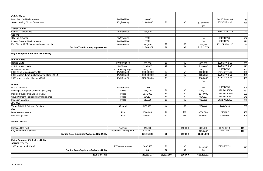| <b>Public Works</b>                                 |                                |                          |                 |             |                       |               |            |
|-----------------------------------------------------|--------------------------------|--------------------------|-----------------|-------------|-----------------------|---------------|------------|
| <b>Municipal Yard Maintenance</b>                   | <b>PW/Facilities</b>           | \$8,000                  |                 |             |                       | 2021DPWA-109  | 16         |
| <b>Street Lighting Circuit Conversion</b>           | Engineering                    | \$1,600,000              | \$0             | \$0         | \$1,600,000           | 2025ENG1-1-2  | 385        |
|                                                     |                                |                          |                 |             | \$0                   |               |            |
| <b>Senior Center</b>                                |                                |                          |                 |             |                       |               |            |
| <b>General Maintenance</b>                          | <b>PW/Facilities</b>           | \$88,600                 |                 |             |                       | 2022DPWA-119  | 84         |
| <b>General</b>                                      |                                |                          |                 |             |                       |               |            |
| <b>City Hall Elevator</b>                           | <b>PW/Facilities</b>           | <b>TBD</b>               |                 |             | \$0                   | 2025DPW3      | 389        |
| Library Elevator / Maintenance                      | <b>PW/Facilities</b>           | <b>TBD</b>               |                 |             | \$0                   | 2025DPW4      | 391        |
| Fire Station #2 Maintenance/Improvements            | <b>PW/Facilities</b>           | \$12,779                 | \$0             | \$0         | \$12,779              | 2021DPW A-116 | 63         |
| Section Total-Property Improvement                  |                                | \$1,709,379              | \$0             | \$0         | \$1,612,779           |               |            |
| Major Equipment/Vehicles - Non-Utility              |                                |                          |                 |             |                       |               |            |
| <b>Public Works</b>                                 |                                |                          |                 |             |                       |               |            |
| <b>Refuse Carts</b>                                 | PW/Sanitation                  |                          | $\sqrt{50}$     | \$0         |                       | 2025DPW SS5   |            |
|                                                     |                                | \$35,000                 | $\sqrt{50}$     | $\sqrt{60}$ | \$35,000              | 2025DPW SS4   | 393        |
| #2948 Wheel Loader                                  | <b>PW/Streets</b>              | \$198,000                |                 |             | \$198,000             | 2025DPW5      | 395        |
| Retroreflectometer<br>2012 20 yd refuse packer #818 | PW/Building/SIgns<br>PW/San&St | \$20,000<br>\$320,000.00 | \$0             | \$0         | \$20,000<br>\$320,000 | 2025DPW SS2   | 397<br>399 |
| 2009 tandem dump truck/plow/wing blade #1014        | PW/San&St                      | \$285,850.00             | \$0             | \$0         | \$285,850             | 2025DPW SS1   | 401        |
| 2008 front end wheel loader #2938                   | PW/San&St                      | \$188,000.00             | $\overline{50}$ | \$0         | \$188,000             | 2025DPW SS3   | 403        |
|                                                     |                                |                          |                 |             | \$0                   |               |            |
| <b>Police</b>                                       |                                |                          |                 |             |                       |               |            |
| <b>Police Generator</b>                             | <b>PW/Electrical</b>           | <b>TBD</b>               |                 |             | \$0                   | 2025DPW2      | 405        |
| Investigative Squads (replace 2 per year)           | Police                         | \$64,000                 | \$0             | \$0         | \$64,000              | 2021 POLICE 4 | 237        |
| Marked Squads (replace 6 per year)                  | Police                         | \$240,000                | \$0             | \$0         | \$240,000             | 2021 POLICE 5 | 239        |
| Squad Camera Replacement/Maintenance                | Police                         | \$54,107                 | $\overline{50}$ | \$0         | \$54,107              | 2021 POLICE 1 | 241        |
| Microfilm Machine                                   | Police                         | \$10,855                 | \$0             | \$0         | \$10,855              | 2022POLICE3   | 253        |
| <b>City Hall</b>                                    |                                |                          |                 |             |                       |               |            |
| Virtual City Hall Software Solution                 | General                        | \$75,000                 | \$0             | \$0         | \$75,000              | 2022ADM1      | 233        |
| Fire                                                |                                |                          |                 |             |                       |               |            |
| <b>Breathing Apparatus</b>                          | Fire                           | \$566,086                | $\sqrt{6}$      | $\sqrt{50}$ | \$566,086             | 2025FIRE1     | 407        |
| Fire PickUp Truck                                   | Fire                           | \$55,000                 | \$0             | \$0         | \$55,000              | 2025FIRE2     | 409        |
| <b>DEVELOPMENT</b>                                  |                                |                          |                 |             |                       |               |            |
| Eastside Dog Park                                   | Planning                       | \$40,000                 |                 | \$10,000    | \$30,000              | 2025 Dev 1    | 411        |
| City Branded Bus Shelter                            | <b>Economic Development</b>    | \$250,000                |                 |             | \$250,000             | 2025 Dev 2    | 413        |
| Section Total-Equipment/Vehicles-Non-Utility        |                                | \$2,401,898              | \$0             | \$10,000    | \$2,391,898           |               |            |
| <b>Major Equipment/Vehicles - Utility</b>           |                                |                          |                 |             |                       |               |            |
| <b>SEWER UTILITY</b>                                |                                |                          |                 |             |                       |               |            |
| 2005 jet vac truck #1498                            | PW/sanitary sewer              | \$430,550                | $\overline{50}$ | \$0         |                       | 2025DPW SU1   |            |
| Section Total-Equipment/Vehicles-Utility            |                                | \$0                      | \$0             | \$0         | \$430,550<br>\$0      |               | 415        |
|                                                     |                                |                          |                 |             |                       |               |            |
| 2025 CIP Total                                      |                                | \$16,552,277             | \$1,207,000     | \$10,000    | \$15,238,677          |               |            |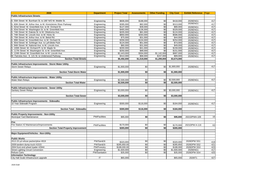| 2026                                                         | <b>Department</b>            | <b>Project Total</b> | <b>Assessments</b> | <b>Other Funding</b> | <b>City Cost</b> | <b>Exhibit Reference</b> | Page       |
|--------------------------------------------------------------|------------------------------|----------------------|--------------------|----------------------|------------------|--------------------------|------------|
| <b>Public Infrastructure Streets</b>                         |                              |                      |                    |                      |                  |                          |            |
|                                                              |                              |                      |                    |                      |                  |                          |            |
| S. 55th Street: W. Burnham St. to 180' N/O W. Mobile St.     | Engineering                  | \$606,000            | \$188,000          | \$0                  | \$418,000        | 2026ENG1                 | 417        |
| 60th Street: W. Arthur Ave. to W. Kinnickinnic River Parkway | Engineering                  | \$395,000            | \$82,000           | \$0                  | \$313,000        | 2026ENG1                 | 417        |
| 62nd Street: W. Greenfield Ave. to W. Orchard St.            | Engineering                  | \$127,000            | \$39,000           | \$0                  | \$88,000         | 2026ENG1                 | 417        |
| S. 63rd Street: W. Washington St. to W. Greenfield Ave.      | Engineering                  | \$465,000            | \$136,000          | \$0                  | \$329,000        | 2026ENG1                 | 417        |
| .74th Street: W. Dakota St. to W. Oklahoma Ave.              | Engineering                  | \$205,000            | \$81,000           | \$0                  | \$124,000        | 2026ENG1                 | 417        |
| S. 74th Street: W. Lincoln Ave. to W. Hicks St.              | Engineering                  | \$850,000            | \$264,000          | \$0                  | \$586,000        | 2026ENG1                 | 417        |
| S. 75th Street: W. Arthur Ave. to W. Beloit Rd.              | Engineering                  | \$75,000             | \$31,000           | \$0                  | \$44,000         | 2026ENG1                 | 417        |
| 89th Street: W. Greenfield Ave. to W. Orchard St.            | Engineering                  | \$358,000            | \$104,000          | \$0                  | \$254,000        | 2026ENG1                 | 417        |
| 93rd Street: W. Schlinger Ave. to LaFollette Park            | Engineering                  | \$124,000            | \$51,000           | \$0                  | \$73,000         | 2026ENG1                 | 417        |
| 94th Street: W. National Ave. to W. Lincoln Ave.             | Engineering                  | \$80,000             | \$31,000           | \$0                  | \$49,000         | 2026ENG1                 | 417        |
| S. 100th Street: W. Orchard Pl. to W. Maple St.              | Engineering                  | \$200,000            | \$41,000           | \$0                  | \$159,000        | 2026ENG1                 | 417        |
| S. 117th Street: W. Washington St. to W. Greenfield Ave.     | Engineering                  | \$250,000            | \$99,000           | \$0                  | \$151,000        | 2026ENG1                 | 417        |
| S. 124th Street: W. Greenfield Ave. to W. Lincoln Ave.       | Engineering                  | \$2,443,000          | \$304,000          | \$1,142,000          | \$997,000        | 2026ENG1                 | 417        |
| W. Fairview Ave.: S. 121 St. to Underwood Parkway            | Engineering                  | \$314,000            | \$68,000           | \$157,000            | \$89,000         | 2026ENG1                 | 417        |
| <b>Section Total-Streets</b>                                 |                              | \$6,492,000          | \$1,519,000        | \$1,299,000          | \$3,674,000      |                          |            |
|                                                              |                              |                      |                    |                      |                  |                          |            |
| Public Infrastructure Improvements - Storm Water Utility     |                              |                      |                    |                      |                  |                          |            |
| <b>Storm Sewer Relays</b>                                    | Engineering                  | \$1,900,000          | \$0                | \$0                  | \$1,900,000      | 2026ENG1                 | 417        |
|                                                              |                              |                      |                    |                      |                  |                          |            |
| <b>Section Total-Storm Water</b>                             |                              | \$1,900,000          | \$0                | \$0 <sub>l</sub>     | \$1,900,000      |                          |            |
| Public Infrastructure Improvements - Water Utility           |                              |                      |                    |                      |                  |                          |            |
| <b>Water Main Relays</b>                                     | Engineering                  | \$2,500,000          | \$0                | \$0                  | \$2,500,000      | 2026ENG1                 | 417        |
| <b>Section Total-Water</b>                                   |                              | \$2,500,000          | \$0                | \$0                  | \$2,500,000      |                          |            |
|                                                              |                              |                      |                    |                      |                  |                          |            |
| Public Infrastructure Improvements - Sewer Utility           |                              |                      |                    |                      |                  |                          |            |
| <b>Sanitary Sewer Relays</b>                                 | Engineering                  | \$3,000,000          | \$0                | \$0                  | \$3,000,000      | 2026ENG1                 | 417        |
|                                                              |                              |                      |                    |                      |                  |                          |            |
| <b>Section Total-Sewer</b>                                   |                              | \$3,000,000          | \$0                | \$0                  | \$3,000,000      |                          |            |
|                                                              |                              |                      |                    |                      |                  |                          |            |
| Public Infrastructure Improvements - Sidewalks               |                              |                      |                    |                      |                  |                          |            |
| 10 Year Sidewalk Program                                     | Engineering                  | \$300,000            | \$116,000          | \$0                  | \$184,000        | 2026ENG1                 | 417        |
|                                                              |                              |                      |                    |                      |                  |                          |            |
| <b>Section Total - Sidewalks</b>                             |                              | \$300,000            | \$116,000          | \$0                  | \$184,000        |                          |            |
|                                                              |                              |                      |                    |                      |                  |                          |            |
| <b>Public Property Improvements - Non-Utility</b>            | <b>PW/Facilities</b>         |                      |                    |                      |                  |                          |            |
| Municipal Yard Maintenance                                   |                              | \$95,000             | \$0                | \$0                  | \$95,000         | 2021DPWA-109             | 16         |
| Fire                                                         |                              |                      |                    |                      |                  |                          |            |
| Fire Station #2 Maintenance/Improvements                     |                              | \$170,000            | \$0                | \$0                  |                  | 2021DPW A-116            |            |
|                                                              | <b>PW/Facilities</b>         |                      |                    |                      | \$170,000        |                          | 63         |
| <b>Section Total-Property Improvement</b>                    |                              | \$265,000            | \$0                | \$0                  | \$265,000        |                          |            |
| Major Equipment/Vehicles - Non-Utility                       |                              |                      |                    |                      |                  |                          |            |
|                                                              |                              |                      |                    |                      |                  |                          |            |
| <b>Public Works</b>                                          |                              |                      |                    |                      |                  |                          |            |
| 2013 20 yd refuse packer/plow #819                           | PW/San&St                    | \$320,000            | \$0                | \$0                  | \$320,000        | 2026DPW SS1              |            |
| 2009 tandem dump truck #1015                                 | PW/San&St                    | \$285,850.00         | \$0                |                      | \$285,850        | 2026DPW SS2              | 419<br>421 |
| 2004 front end wheel loader #2944                            | <b>PW/Forestry</b>           | \$188,000.00         | $\frac{6}{5}$      | \$0<br>\$0           | \$188,000        | 2026DPW SS3              | 423        |
| <b>Street Lighting Circuit Conversion</b>                    |                              | \$1,600,000          | \$0                | \$0                  | \$1,600,000      | 2026ENG1                 | 417        |
| Refuse Carts                                                 | Engineering<br>PW/Sanitation | \$35,000             | \$0                | \$0                  | \$35,000         | 2026DPW SS4              | 425        |
| <b>Information Technology</b>                                |                              |                      |                    |                      |                  |                          |            |
| City Hall Scale Infrastructure upgrade                       | $\mathsf{I}\mathsf{T}$       | \$65,000             |                    |                      | \$65,000         | 2026IT1                  | 427        |
|                                                              |                              |                      |                    |                      |                  |                          |            |